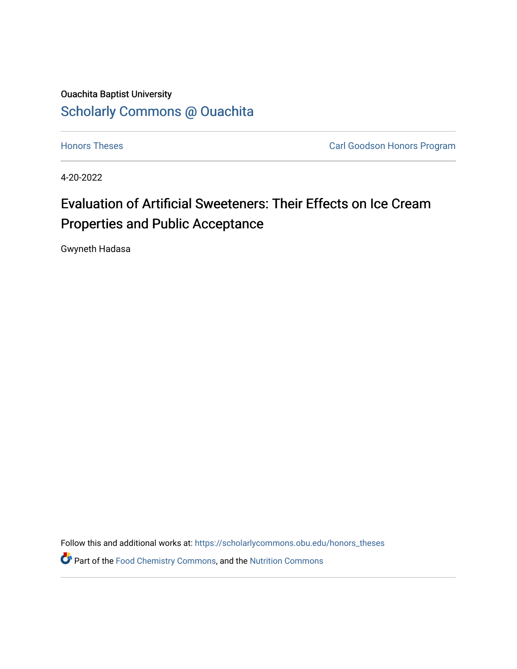### Ouachita Baptist University [Scholarly Commons @ Ouachita](https://scholarlycommons.obu.edu/)

**[Honors Theses](https://scholarlycommons.obu.edu/honors_theses) Carl Goodson Honors Program** 

4-20-2022

## Evaluation of Artificial Sweeteners: Their Effects on Ice Cream Properties and Public Acceptance

Gwyneth Hadasa

Follow this and additional works at: [https://scholarlycommons.obu.edu/honors\\_theses](https://scholarlycommons.obu.edu/honors_theses?utm_source=scholarlycommons.obu.edu%2Fhonors_theses%2F845&utm_medium=PDF&utm_campaign=PDFCoverPages) 

Part of the [Food Chemistry Commons,](http://network.bepress.com/hgg/discipline/87?utm_source=scholarlycommons.obu.edu%2Fhonors_theses%2F845&utm_medium=PDF&utm_campaign=PDFCoverPages) and the [Nutrition Commons](http://network.bepress.com/hgg/discipline/95?utm_source=scholarlycommons.obu.edu%2Fhonors_theses%2F845&utm_medium=PDF&utm_campaign=PDFCoverPages)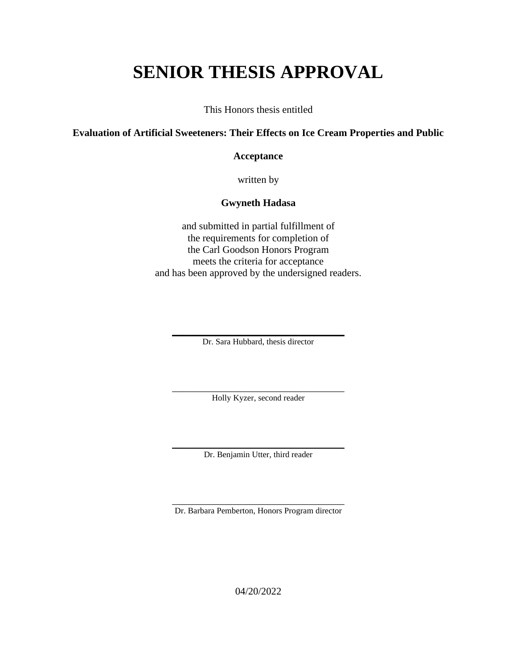# **SENIOR THESIS APPROVAL**

This Honors thesis entitled

#### **Evaluation of Artificial Sweeteners: Their Effects on Ice Cream Properties and Public**

#### **Acceptance**

written by

#### **Gwyneth Hadasa**

and submitted in partial fulfillment of the requirements for completion of the Carl Goodson Honors Program meets the criteria for acceptance and has been approved by the undersigned readers.

\_\_\_\_\_\_\_\_\_\_\_\_\_\_\_\_\_\_\_\_\_\_\_\_\_\_\_\_\_\_\_\_\_\_ Dr. Sara Hubbard, thesis director

\_\_\_\_\_\_\_\_\_\_\_\_\_\_\_\_\_\_\_\_\_\_\_\_\_\_\_\_\_\_\_\_\_\_ Holly Kyzer, second reader

\_\_\_\_\_\_\_\_\_\_\_\_\_\_\_\_\_\_\_\_\_\_\_\_\_\_\_\_\_\_\_\_\_\_ Dr. Benjamin Utter, third reader

\_\_\_\_\_\_\_\_\_\_\_\_\_\_\_\_\_\_\_\_\_\_\_\_\_\_\_\_\_\_\_\_\_\_ Dr. Barbara Pemberton, Honors Program director

04/20/2022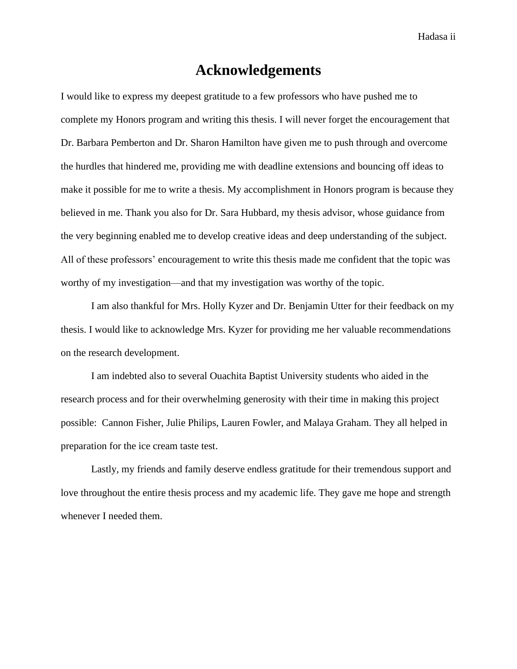Hadasa ii

### **Acknowledgements**

<span id="page-2-0"></span>I would like to express my deepest gratitude to a few professors who have pushed me to complete my Honors program and writing this thesis. I will never forget the encouragement that Dr. Barbara Pemberton and Dr. Sharon Hamilton have given me to push through and overcome the hurdles that hindered me, providing me with deadline extensions and bouncing off ideas to make it possible for me to write a thesis. My accomplishment in Honors program is because they believed in me. Thank you also for Dr. Sara Hubbard, my thesis advisor, whose guidance from the very beginning enabled me to develop creative ideas and deep understanding of the subject. All of these professors' encouragement to write this thesis made me confident that the topic was worthy of my investigation—and that my investigation was worthy of the topic.

I am also thankful for Mrs. Holly Kyzer and Dr. Benjamin Utter for their feedback on my thesis. I would like to acknowledge Mrs. Kyzer for providing me her valuable recommendations on the research development.

I am indebted also to several Ouachita Baptist University students who aided in the research process and for their overwhelming generosity with their time in making this project possible: Cannon Fisher, Julie Philips, Lauren Fowler, and Malaya Graham. They all helped in preparation for the ice cream taste test.

<span id="page-2-1"></span>Lastly, my friends and family deserve endless gratitude for their tremendous support and love throughout the entire thesis process and my academic life. They gave me hope and strength whenever I needed them.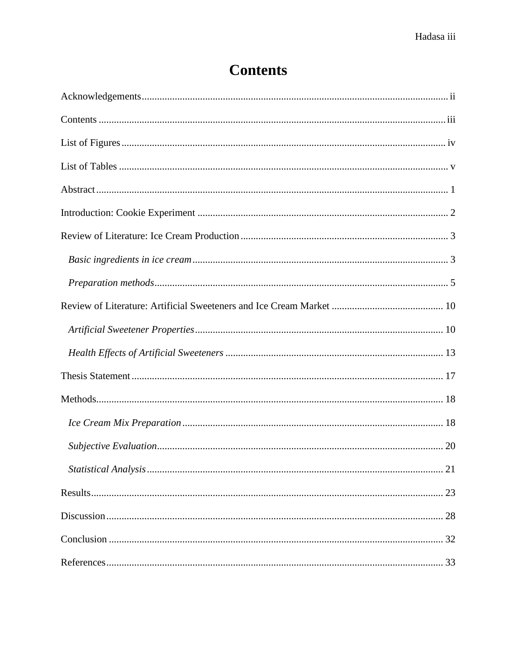## **Contents**

| Statistical Analysis<br>21 |
|----------------------------|
|                            |
|                            |
|                            |
|                            |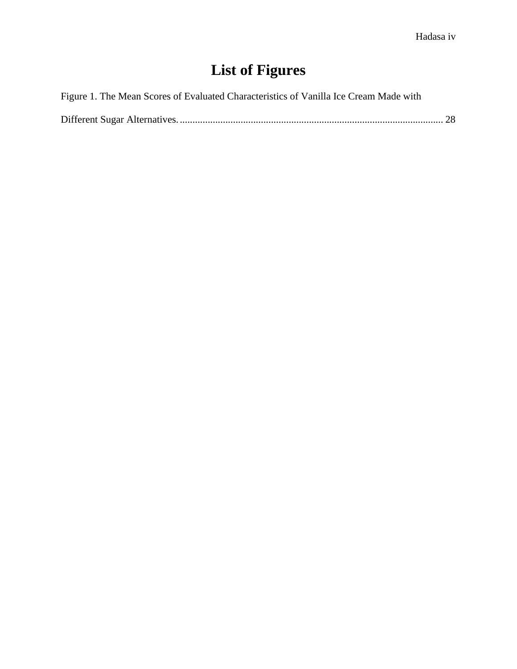# **List of Figures**

<span id="page-4-0"></span>

|  |  |  | Figure 1. The Mean Scores of Evaluated Characteristics of Vanilla Ice Cream Made with |
|--|--|--|---------------------------------------------------------------------------------------|
|  |  |  |                                                                                       |

|--|--|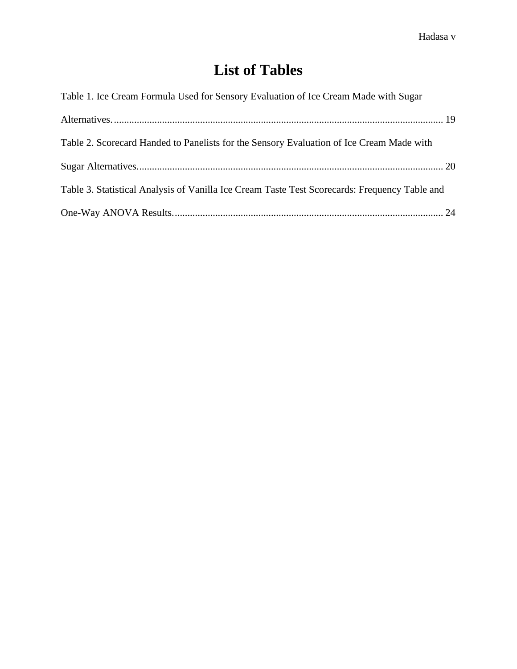## **List of Tables**

<span id="page-5-0"></span>

| Table 1. Ice Cream Formula Used for Sensory Evaluation of Ice Cream Made with Sugar           |  |
|-----------------------------------------------------------------------------------------------|--|
|                                                                                               |  |
| Table 2. Scorecard Handed to Panelists for the Sensory Evaluation of Ice Cream Made with      |  |
|                                                                                               |  |
| Table 3. Statistical Analysis of Vanilla Ice Cream Taste Test Scorecards: Frequency Table and |  |
|                                                                                               |  |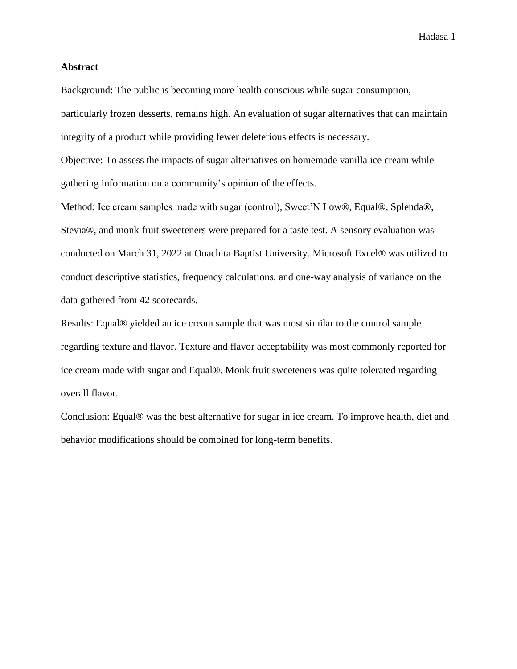#### <span id="page-6-0"></span>**Abstract**

Background: The public is becoming more health conscious while sugar consumption, particularly frozen desserts, remains high. An evaluation of sugar alternatives that can maintain integrity of a product while providing fewer deleterious effects is necessary.

Objective: To assess the impacts of sugar alternatives on homemade vanilla ice cream while gathering information on a community's opinion of the effects.

Method: Ice cream samples made with sugar (control), Sweet'N Low®, Equal®, Splenda®, Stevia®, and monk fruit sweeteners were prepared for a taste test. A sensory evaluation was conducted on March 31, 2022 at Ouachita Baptist University. Microsoft Excel® was utilized to conduct descriptive statistics, frequency calculations, and one-way analysis of variance on the data gathered from 42 scorecards.

Results: Equal® yielded an ice cream sample that was most similar to the control sample regarding texture and flavor. Texture and flavor acceptability was most commonly reported for ice cream made with sugar and Equal®. Monk fruit sweeteners was quite tolerated regarding overall flavor.

Conclusion: Equal® was the best alternative for sugar in ice cream. To improve health, diet and behavior modifications should be combined for long-term benefits.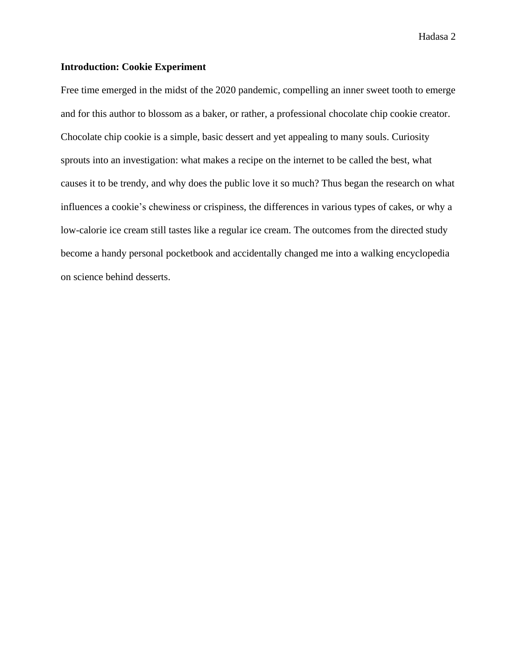#### <span id="page-7-0"></span>**Introduction: Cookie Experiment**

Free time emerged in the midst of the 2020 pandemic, compelling an inner sweet tooth to emerge and for this author to blossom as a baker, or rather, a professional chocolate chip cookie creator. Chocolate chip cookie is a simple, basic dessert and yet appealing to many souls. Curiosity sprouts into an investigation: what makes a recipe on the internet to be called the best, what causes it to be trendy, and why does the public love it so much? Thus began the research on what influences a cookie's chewiness or crispiness, the differences in various types of cakes, or why a low-calorie ice cream still tastes like a regular ice cream. The outcomes from the directed study become a handy personal pocketbook and accidentally changed me into a walking encyclopedia on science behind desserts.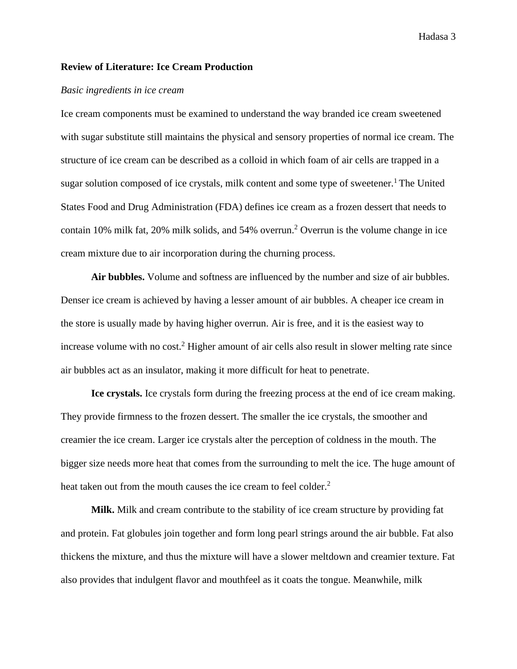#### <span id="page-8-0"></span>**Review of Literature: Ice Cream Production**

#### <span id="page-8-1"></span>*Basic ingredients in ice cream*

Ice cream components must be examined to understand the way branded ice cream sweetened with sugar substitute still maintains the physical and sensory properties of normal ice cream. The structure of ice cream can be described as a colloid in which foam of air cells are trapped in a sugar solution composed of ice crystals, milk content and some type of sweetener.<sup>1</sup> The United States Food and Drug Administration (FDA) defines ice cream as a frozen dessert that needs to contain 10% milk fat, 20% milk solids, and 54% overrun.<sup>2</sup> Overrun is the volume change in ice cream mixture due to air incorporation during the churning process.

**Air bubbles.** Volume and softness are influenced by the number and size of air bubbles. Denser ice cream is achieved by having a lesser amount of air bubbles. A cheaper ice cream in the store is usually made by having higher overrun. Air is free, and it is the easiest way to increase volume with no cost.<sup>2</sup> Higher amount of air cells also result in slower melting rate since air bubbles act as an insulator, making it more difficult for heat to penetrate.

**Ice crystals.** Ice crystals form during the freezing process at the end of ice cream making. They provide firmness to the frozen dessert. The smaller the ice crystals, the smoother and creamier the ice cream. Larger ice crystals alter the perception of coldness in the mouth. The bigger size needs more heat that comes from the surrounding to melt the ice. The huge amount of heat taken out from the mouth causes the ice cream to feel colder.<sup>2</sup>

**Milk.** Milk and cream contribute to the stability of ice cream structure by providing fat and protein. Fat globules join together and form long pearl strings around the air bubble. Fat also thickens the mixture, and thus the mixture will have a slower meltdown and creamier texture. Fat also provides that indulgent flavor and mouthfeel as it coats the tongue. Meanwhile, milk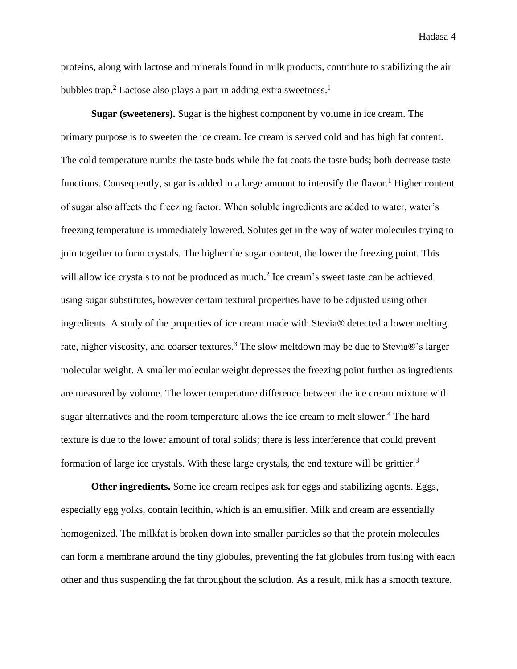proteins, along with lactose and minerals found in milk products, contribute to stabilizing the air bubbles trap.<sup>2</sup> Lactose also plays a part in adding extra sweetness.<sup>1</sup>

**Sugar (sweeteners).** Sugar is the highest component by volume in ice cream. The primary purpose is to sweeten the ice cream. Ice cream is served cold and has high fat content. The cold temperature numbs the taste buds while the fat coats the taste buds; both decrease taste functions. Consequently, sugar is added in a large amount to intensify the flavor.<sup>1</sup> Higher content of sugar also affects the freezing factor. When soluble ingredients are added to water, water's freezing temperature is immediately lowered. Solutes get in the way of water molecules trying to join together to form crystals. The higher the sugar content, the lower the freezing point. This will allow ice crystals to not be produced as much.<sup>2</sup> Ice cream's sweet taste can be achieved using sugar substitutes, however certain textural properties have to be adjusted using other ingredients. A study of the properties of ice cream made with Stevia® detected a lower melting rate, higher viscosity, and coarser textures.<sup>3</sup> The slow meltdown may be due to Stevia®'s larger molecular weight. A smaller molecular weight depresses the freezing point further as ingredients are measured by volume. The lower temperature difference between the ice cream mixture with sugar alternatives and the room temperature allows the ice cream to melt slower.<sup>4</sup> The hard texture is due to the lower amount of total solids; there is less interference that could prevent formation of large ice crystals. With these large crystals, the end texture will be grittier.<sup>3</sup>

**Other ingredients.** Some ice cream recipes ask for eggs and stabilizing agents. Eggs, especially egg yolks, contain lecithin, which is an emulsifier. Milk and cream are essentially homogenized. The milkfat is broken down into smaller particles so that the protein molecules can form a membrane around the tiny globules, preventing the fat globules from fusing with each other and thus suspending the fat throughout the solution. As a result, milk has a smooth texture.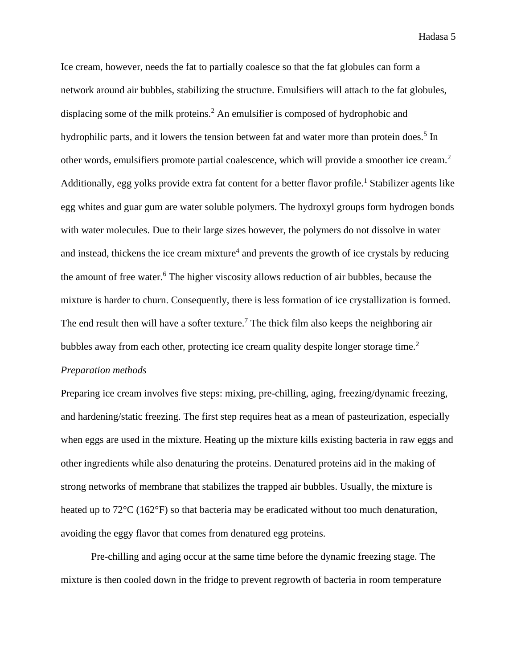Ice cream, however, needs the fat to partially coalesce so that the fat globules can form a network around air bubbles, stabilizing the structure. Emulsifiers will attach to the fat globules, displacing some of the milk proteins.<sup>2</sup> An emulsifier is composed of hydrophobic and hydrophilic parts, and it lowers the tension between fat and water more than protein does.<sup>5</sup> In other words, emulsifiers promote partial coalescence, which will provide a smoother ice cream.<sup>2</sup> Additionally, egg yolks provide extra fat content for a better flavor profile.<sup>1</sup> Stabilizer agents like egg whites and guar gum are water soluble polymers. The hydroxyl groups form hydrogen bonds with water molecules. Due to their large sizes however, the polymers do not dissolve in water and instead, thickens the ice cream mixture<sup>4</sup> and prevents the growth of ice crystals by reducing the amount of free water.<sup>6</sup> The higher viscosity allows reduction of air bubbles, because the mixture is harder to churn. Consequently, there is less formation of ice crystallization is formed. The end result then will have a softer texture.<sup>7</sup> The thick film also keeps the neighboring air bubbles away from each other, protecting ice cream quality despite longer storage time.<sup>2</sup>

#### <span id="page-10-0"></span>*Preparation methods*

Preparing ice cream involves five steps: mixing, pre-chilling, aging, freezing/dynamic freezing, and hardening/static freezing. The first step requires heat as a mean of pasteurization, especially when eggs are used in the mixture. Heating up the mixture kills existing bacteria in raw eggs and other ingredients while also denaturing the proteins. Denatured proteins aid in the making of strong networks of membrane that stabilizes the trapped air bubbles. Usually, the mixture is heated up to 72<sup>o</sup>C (162<sup>o</sup>F) so that bacteria may be eradicated without too much denaturation, avoiding the eggy flavor that comes from denatured egg proteins.

Pre-chilling and aging occur at the same time before the dynamic freezing stage. The mixture is then cooled down in the fridge to prevent regrowth of bacteria in room temperature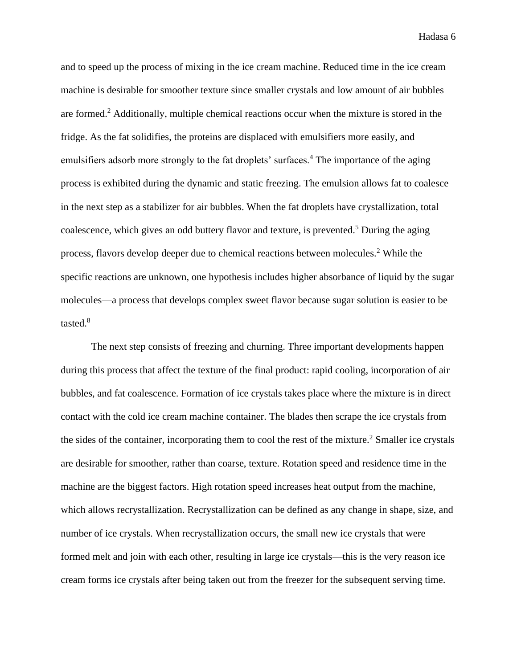and to speed up the process of mixing in the ice cream machine. Reduced time in the ice cream machine is desirable for smoother texture since smaller crystals and low amount of air bubbles are formed.<sup>2</sup> Additionally, multiple chemical reactions occur when the mixture is stored in the fridge. As the fat solidifies, the proteins are displaced with emulsifiers more easily, and emulsifiers adsorb more strongly to the fat droplets' surfaces.<sup>4</sup> The importance of the aging process is exhibited during the dynamic and static freezing. The emulsion allows fat to coalesce in the next step as a stabilizer for air bubbles. When the fat droplets have crystallization, total coalescence, which gives an odd buttery flavor and texture, is prevented.<sup>5</sup> During the aging process, flavors develop deeper due to chemical reactions between molecules.<sup>2</sup> While the specific reactions are unknown, one hypothesis includes higher absorbance of liquid by the sugar molecules—a process that develops complex sweet flavor because sugar solution is easier to be tasted. $8$ 

The next step consists of freezing and churning. Three important developments happen during this process that affect the texture of the final product: rapid cooling, incorporation of air bubbles, and fat coalescence. Formation of ice crystals takes place where the mixture is in direct contact with the cold ice cream machine container. The blades then scrape the ice crystals from the sides of the container, incorporating them to cool the rest of the mixture.<sup>2</sup> Smaller ice crystals are desirable for smoother, rather than coarse, texture. Rotation speed and residence time in the machine are the biggest factors. High rotation speed increases heat output from the machine, which allows recrystallization. Recrystallization can be defined as any change in shape, size, and number of ice crystals. When recrystallization occurs, the small new ice crystals that were formed melt and join with each other, resulting in large ice crystals—this is the very reason ice cream forms ice crystals after being taken out from the freezer for the subsequent serving time.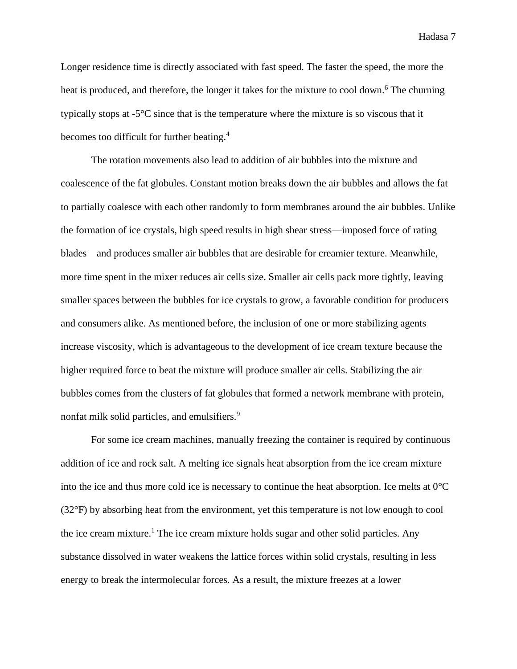Longer residence time is directly associated with fast speed. The faster the speed, the more the heat is produced, and therefore, the longer it takes for the mixture to cool down.<sup>6</sup> The churning typically stops at -5°C since that is the temperature where the mixture is so viscous that it becomes too difficult for further beating.<sup>4</sup>

The rotation movements also lead to addition of air bubbles into the mixture and coalescence of the fat globules. Constant motion breaks down the air bubbles and allows the fat to partially coalesce with each other randomly to form membranes around the air bubbles. Unlike the formation of ice crystals, high speed results in high shear stress—imposed force of rating blades—and produces smaller air bubbles that are desirable for creamier texture. Meanwhile, more time spent in the mixer reduces air cells size. Smaller air cells pack more tightly, leaving smaller spaces between the bubbles for ice crystals to grow, a favorable condition for producers and consumers alike. As mentioned before, the inclusion of one or more stabilizing agents increase viscosity, which is advantageous to the development of ice cream texture because the higher required force to beat the mixture will produce smaller air cells. Stabilizing the air bubbles comes from the clusters of fat globules that formed a network membrane with protein, nonfat milk solid particles, and emulsifiers.<sup>9</sup>

For some ice cream machines, manually freezing the container is required by continuous addition of ice and rock salt. A melting ice signals heat absorption from the ice cream mixture into the ice and thus more cold ice is necessary to continue the heat absorption. Ice melts at 0°C (32°F) by absorbing heat from the environment, yet this temperature is not low enough to cool the ice cream mixture.<sup>1</sup> The ice cream mixture holds sugar and other solid particles. Any substance dissolved in water weakens the lattice forces within solid crystals, resulting in less energy to break the intermolecular forces. As a result, the mixture freezes at a lower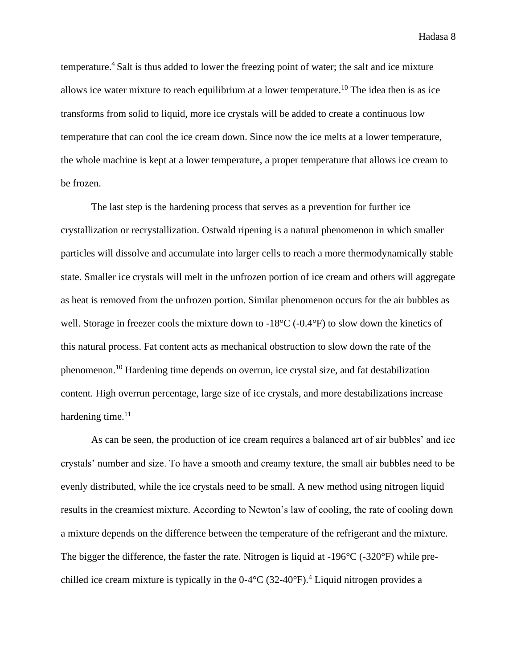temperature.<sup>4</sup> Salt is thus added to lower the freezing point of water; the salt and ice mixture allows ice water mixture to reach equilibrium at a lower temperature.<sup>10</sup> The idea then is as ice transforms from solid to liquid, more ice crystals will be added to create a continuous low temperature that can cool the ice cream down. Since now the ice melts at a lower temperature, the whole machine is kept at a lower temperature, a proper temperature that allows ice cream to be frozen.

The last step is the hardening process that serves as a prevention for further ice crystallization or recrystallization. Ostwald ripening is a natural phenomenon in which smaller particles will dissolve and accumulate into larger cells to reach a more thermodynamically stable state. Smaller ice crystals will melt in the unfrozen portion of ice cream and others will aggregate as heat is removed from the unfrozen portion. Similar phenomenon occurs for the air bubbles as well. Storage in freezer cools the mixture down to -18<sup>o</sup>C (-0.4<sup>o</sup>F) to slow down the kinetics of this natural process. Fat content acts as mechanical obstruction to slow down the rate of the phenomenon.<sup>10</sup> Hardening time depends on overrun, ice crystal size, and fat destabilization content. High overrun percentage, large size of ice crystals, and more destabilizations increase hardening time. $11$ 

As can be seen, the production of ice cream requires a balanced art of air bubbles' and ice crystals' number and size. To have a smooth and creamy texture, the small air bubbles need to be evenly distributed, while the ice crystals need to be small. A new method using nitrogen liquid results in the creamiest mixture. According to Newton's law of cooling, the rate of cooling down a mixture depends on the difference between the temperature of the refrigerant and the mixture. The bigger the difference, the faster the rate. Nitrogen is liquid at -196°C (-320°F) while prechilled ice cream mixture is typically in the 0-4°C (32-40°F).<sup>4</sup> Liquid nitrogen provides a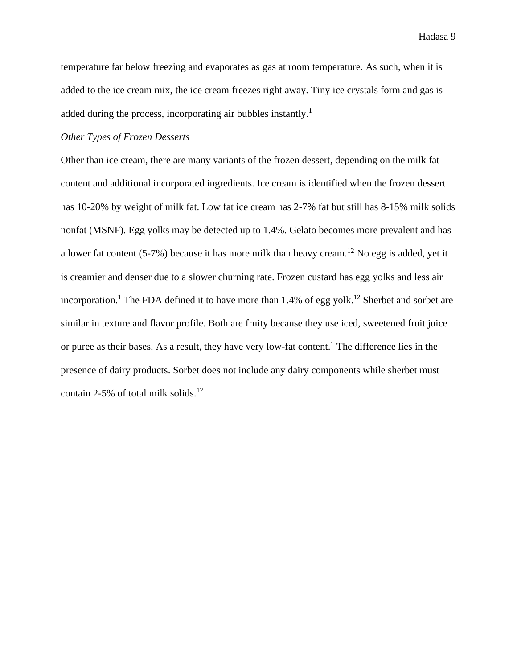temperature far below freezing and evaporates as gas at room temperature. As such, when it is added to the ice cream mix, the ice cream freezes right away. Tiny ice crystals form and gas is added during the process, incorporating air bubbles instantly.<sup>1</sup>

#### *Other Types of Frozen Desserts*

Other than ice cream, there are many variants of the frozen dessert, depending on the milk fat content and additional incorporated ingredients. Ice cream is identified when the frozen dessert has 10-20% by weight of milk fat. Low fat ice cream has 2-7% fat but still has 8-15% milk solids nonfat (MSNF). Egg yolks may be detected up to 1.4%. Gelato becomes more prevalent and has a lower fat content (5-7%) because it has more milk than heavy cream.<sup>12</sup> No egg is added, yet it is creamier and denser due to a slower churning rate. Frozen custard has egg yolks and less air incorporation.<sup>1</sup> The FDA defined it to have more than  $1.4\%$  of egg yolk.<sup>12</sup> Sherbet and sorbet are similar in texture and flavor profile. Both are fruity because they use iced, sweetened fruit juice or puree as their bases. As a result, they have very low-fat content.<sup>1</sup> The difference lies in the presence of dairy products. Sorbet does not include any dairy components while sherbet must contain 2-5% of total milk solids. $12$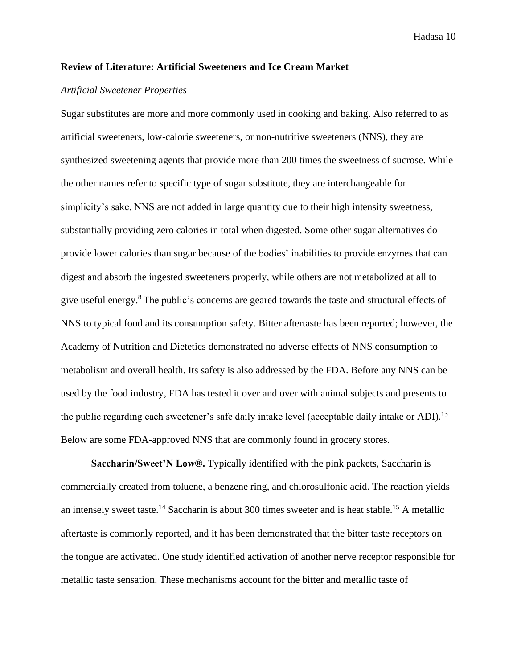#### <span id="page-15-0"></span>**Review of Literature: Artificial Sweeteners and Ice Cream Market**

#### <span id="page-15-1"></span>*Artificial Sweetener Properties*

Sugar substitutes are more and more commonly used in cooking and baking. Also referred to as artificial sweeteners, low-calorie sweeteners, or non-nutritive sweeteners (NNS), they are synthesized sweetening agents that provide more than 200 times the sweetness of sucrose. While the other names refer to specific type of sugar substitute, they are interchangeable for simplicity's sake. NNS are not added in large quantity due to their high intensity sweetness, substantially providing zero calories in total when digested. Some other sugar alternatives do provide lower calories than sugar because of the bodies' inabilities to provide enzymes that can digest and absorb the ingested sweeteners properly, while others are not metabolized at all to give useful energy.<sup>8</sup> The public's concerns are geared towards the taste and structural effects of NNS to typical food and its consumption safety. Bitter aftertaste has been reported; however, the Academy of Nutrition and Dietetics demonstrated no adverse effects of NNS consumption to metabolism and overall health. Its safety is also addressed by the FDA. Before any NNS can be used by the food industry, FDA has tested it over and over with animal subjects and presents to the public regarding each sweetener's safe daily intake level (acceptable daily intake or ADI).<sup>13</sup> Below are some FDA-approved NNS that are commonly found in grocery stores.

**Saccharin/Sweet'N Low®.** Typically identified with the pink packets, Saccharin is commercially created from toluene, a benzene ring, and chlorosulfonic acid. The reaction yields an intensely sweet taste.<sup>14</sup> Saccharin is about 300 times sweeter and is heat stable.<sup>15</sup> A metallic aftertaste is commonly reported, and it has been demonstrated that the bitter taste receptors on the tongue are activated. One study identified activation of another nerve receptor responsible for metallic taste sensation. These mechanisms account for the bitter and metallic taste of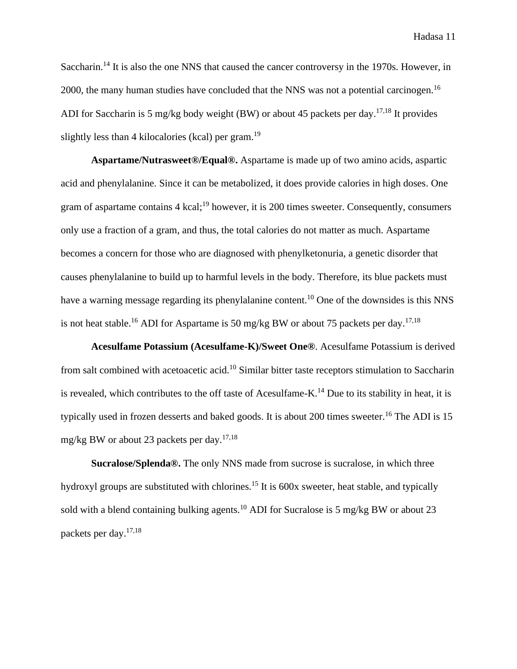Saccharin.<sup>14</sup> It is also the one NNS that caused the cancer controversy in the 1970s. However, in 2000, the many human studies have concluded that the NNS was not a potential carcinogen.<sup>16</sup> ADI for Saccharin is 5 mg/kg body weight (BW) or about 45 packets per day.<sup>17,18</sup> It provides slightly less than 4 kilocalories (kcal) per gram.<sup>19</sup>

**Aspartame/Nutrasweet®/Equal®.** Aspartame is made up of two amino acids, aspartic acid and phenylalanine. Since it can be metabolized, it does provide calories in high doses. One gram of aspartame contains 4 kcal;<sup>19</sup> however, it is 200 times sweeter. Consequently, consumers only use a fraction of a gram, and thus, the total calories do not matter as much. Aspartame becomes a concern for those who are diagnosed with phenylketonuria, a genetic disorder that causes phenylalanine to build up to harmful levels in the body. Therefore, its blue packets must have a warning message regarding its phenylalanine content.<sup>10</sup> One of the downsides is this NNS is not heat stable.<sup>16</sup> ADI for Aspartame is 50 mg/kg BW or about 75 packets per day.<sup>17,18</sup>

**Acesulfame Potassium (Acesulfame-K)/Sweet One®**. Acesulfame Potassium is derived from salt combined with acetoacetic acid.<sup>10</sup> Similar bitter taste receptors stimulation to Saccharin is revealed, which contributes to the off taste of Acesulfame-K.<sup>14</sup> Due to its stability in heat, it is typically used in frozen desserts and baked goods. It is about 200 times sweeter.<sup>16</sup> The ADI is 15 mg/kg BW or about 23 packets per day.<sup>17,18</sup>

**Sucralose/Splenda®.** The only NNS made from sucrose is sucralose, in which three hydroxyl groups are substituted with chlorines.<sup>15</sup> It is 600x sweeter, heat stable, and typically sold with a blend containing bulking agents.<sup>10</sup> ADI for Sucralose is 5 mg/kg BW or about 23 packets per day.17,18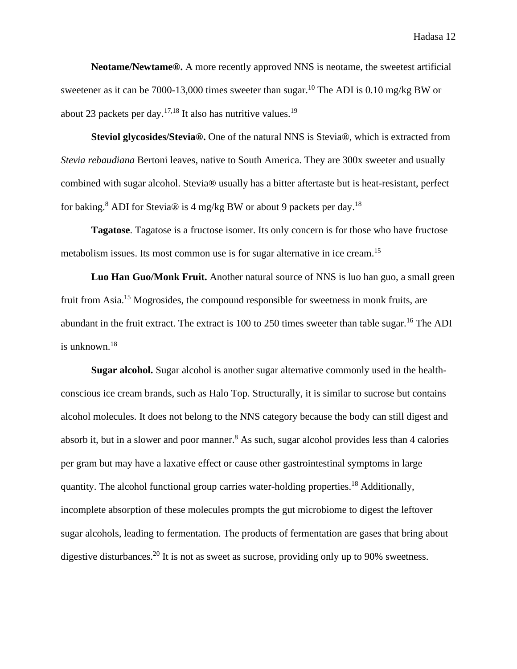**Neotame/Newtame®.** A more recently approved NNS is neotame, the sweetest artificial sweetener as it can be 7000-13,000 times sweeter than sugar.<sup>10</sup> The ADI is 0.10 mg/kg BW or about 23 packets per day.<sup>17,18</sup> It also has nutritive values.<sup>19</sup>

**Steviol glycosides/Stevia®.** One of the natural NNS is Stevia®, which is extracted from *Stevia rebaudiana* Bertoni leaves, native to South America. They are 300x sweeter and usually combined with sugar alcohol. Stevia® usually has a bitter aftertaste but is heat-resistant, perfect for baking.<sup>8</sup> ADI for Stevia<sup>®</sup> is 4 mg/kg BW or about 9 packets per day.<sup>18</sup>

**Tagatose**. Tagatose is a fructose isomer. Its only concern is for those who have fructose metabolism issues. Its most common use is for sugar alternative in ice cream.<sup>15</sup>

**Luo Han Guo/Monk Fruit.** Another natural source of NNS is luo han guo, a small green fruit from Asia.<sup>15</sup> Mogrosides, the compound responsible for sweetness in monk fruits, are abundant in the fruit extract. The extract is 100 to 250 times sweeter than table sugar.<sup>16</sup> The ADI is unknown.<sup>18</sup>

**Sugar alcohol.** Sugar alcohol is another sugar alternative commonly used in the healthconscious ice cream brands, such as Halo Top. Structurally, it is similar to sucrose but contains alcohol molecules. It does not belong to the NNS category because the body can still digest and absorb it, but in a slower and poor manner.<sup>8</sup> As such, sugar alcohol provides less than 4 calories per gram but may have a laxative effect or cause other gastrointestinal symptoms in large quantity. The alcohol functional group carries water-holding properties.<sup>18</sup> Additionally, incomplete absorption of these molecules prompts the gut microbiome to digest the leftover sugar alcohols, leading to fermentation. The products of fermentation are gases that bring about digestive disturbances.<sup>20</sup> It is not as sweet as sucrose, providing only up to 90% sweetness.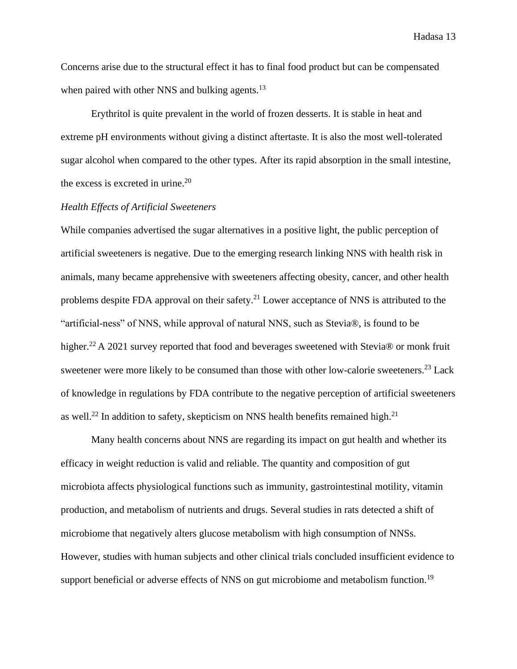Concerns arise due to the structural effect it has to final food product but can be compensated when paired with other NNS and bulking agents.<sup>13</sup>

Erythritol is quite prevalent in the world of frozen desserts. It is stable in heat and extreme pH environments without giving a distinct aftertaste. It is also the most well-tolerated sugar alcohol when compared to the other types. After its rapid absorption in the small intestine, the excess is excreted in urine. $20$ 

#### <span id="page-18-0"></span>*Health Effects of Artificial Sweeteners*

While companies advertised the sugar alternatives in a positive light, the public perception of artificial sweeteners is negative. Due to the emerging research linking NNS with health risk in animals, many became apprehensive with sweeteners affecting obesity, cancer, and other health problems despite FDA approval on their safety.<sup>21</sup> Lower acceptance of NNS is attributed to the "artificial-ness" of NNS, while approval of natural NNS, such as Stevia®, is found to be higher.<sup>22</sup> A 2021 survey reported that food and beverages sweetened with Stevia® or monk fruit sweetener were more likely to be consumed than those with other low-calorie sweeteners.<sup>23</sup> Lack of knowledge in regulations by FDA contribute to the negative perception of artificial sweeteners as well.<sup>22</sup> In addition to safety, skepticism on NNS health benefits remained high.<sup>21</sup>

Many health concerns about NNS are regarding its impact on gut health and whether its efficacy in weight reduction is valid and reliable. The quantity and composition of gut microbiota affects physiological functions such as immunity, gastrointestinal motility, vitamin production, and metabolism of nutrients and drugs. Several studies in rats detected a shift of microbiome that negatively alters glucose metabolism with high consumption of NNSs. However, studies with human subjects and other clinical trials concluded insufficient evidence to support beneficial or adverse effects of NNS on gut microbiome and metabolism function.<sup>19</sup>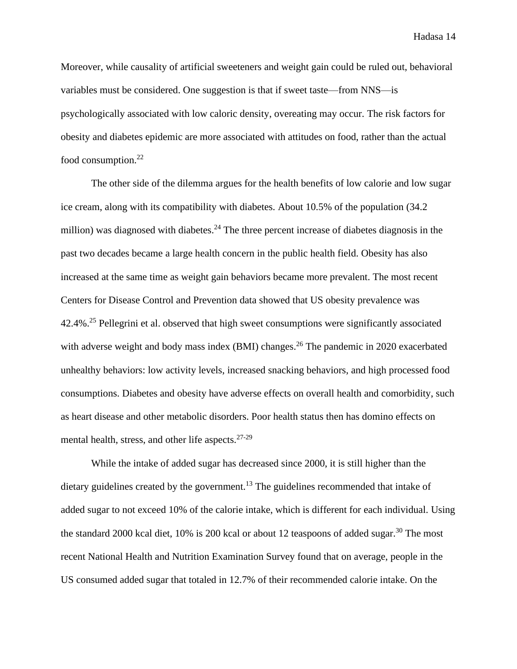Moreover, while causality of artificial sweeteners and weight gain could be ruled out, behavioral variables must be considered. One suggestion is that if sweet taste—from NNS—is psychologically associated with low caloric density, overeating may occur. The risk factors for obesity and diabetes epidemic are more associated with attitudes on food, rather than the actual food consumption.<sup>22</sup>

The other side of the dilemma argues for the health benefits of low calorie and low sugar ice cream, along with its compatibility with diabetes. About 10.5% of the population (34.2 million) was diagnosed with diabetes.<sup>24</sup> The three percent increase of diabetes diagnosis in the past two decades became a large health concern in the public health field. Obesity has also increased at the same time as weight gain behaviors became more prevalent. The most recent Centers for Disease Control and Prevention data showed that US obesity prevalence was 42.4%.<sup>25</sup> Pellegrini et al. observed that high sweet consumptions were significantly associated with adverse weight and body mass index (BMI) changes.<sup>26</sup> The pandemic in 2020 exacerbated unhealthy behaviors: low activity levels, increased snacking behaviors, and high processed food consumptions. Diabetes and obesity have adverse effects on overall health and comorbidity, such as heart disease and other metabolic disorders. Poor health status then has domino effects on mental health, stress, and other life aspects.<sup>27-29</sup>

While the intake of added sugar has decreased since 2000, it is still higher than the dietary guidelines created by the government.<sup>13</sup> The guidelines recommended that intake of added sugar to not exceed 10% of the calorie intake, which is different for each individual. Using the standard 2000 kcal diet,  $10\%$  is 200 kcal or about 12 teaspoons of added sugar.<sup>30</sup> The most recent National Health and Nutrition Examination Survey found that on average, people in the US consumed added sugar that totaled in 12.7% of their recommended calorie intake. On the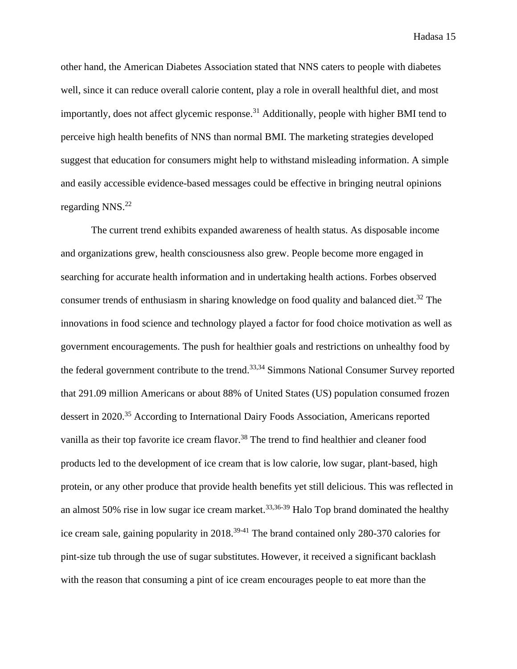other hand, the American Diabetes Association stated that NNS caters to people with diabetes well, since it can reduce overall calorie content, play a role in overall healthful diet, and most importantly, does not affect glycemic response.<sup>31</sup> Additionally, people with higher BMI tend to perceive high health benefits of NNS than normal BMI. The marketing strategies developed suggest that education for consumers might help to withstand misleading information. A simple and easily accessible evidence-based messages could be effective in bringing neutral opinions regarding NNS. 22

The current trend exhibits expanded awareness of health status. As disposable income and organizations grew, health consciousness also grew. People become more engaged in searching for accurate health information and in undertaking health actions. Forbes observed consumer trends of enthusiasm in sharing knowledge on food quality and balanced diet.<sup>32</sup> The innovations in food science and technology played a factor for food choice motivation as well as government encouragements. The push for healthier goals and restrictions on unhealthy food by the federal government contribute to the trend.<sup>33,34</sup> Simmons National Consumer Survey reported that 291.09 million Americans or about 88% of United States (US) population consumed frozen dessert in 2020.<sup>35</sup> According to International Dairy Foods Association, Americans reported vanilla as their top favorite ice cream flavor.<sup>38</sup> The trend to find healthier and cleaner food products led to the development of ice cream that is low calorie, low sugar, plant-based, high protein, or any other produce that provide health benefits yet still delicious. This was reflected in an almost 50% rise in low sugar ice cream market.<sup>33,36-39</sup> Halo Top brand dominated the healthy ice cream sale, gaining popularity in 2018.<sup>39-41</sup> The brand contained only 280-370 calories for pint-size tub through the use of sugar substitutes. However, it received a significant backlash with the reason that consuming a pint of ice cream encourages people to eat more than the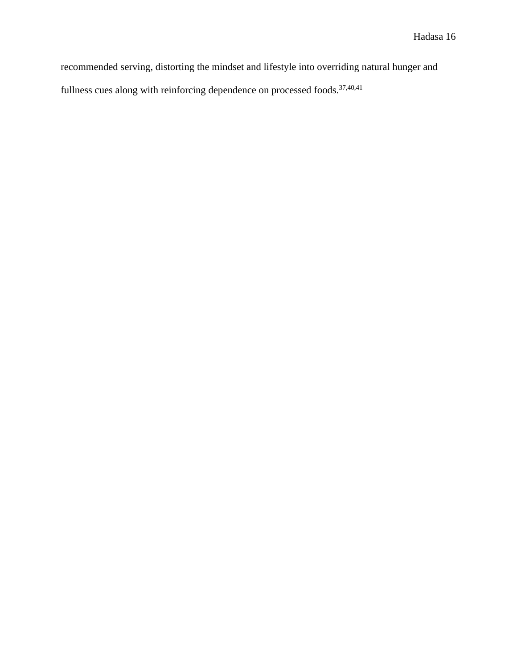recommended serving, distorting the mindset and lifestyle into overriding natural hunger and fullness cues along with reinforcing dependence on processed foods. $37,40,41$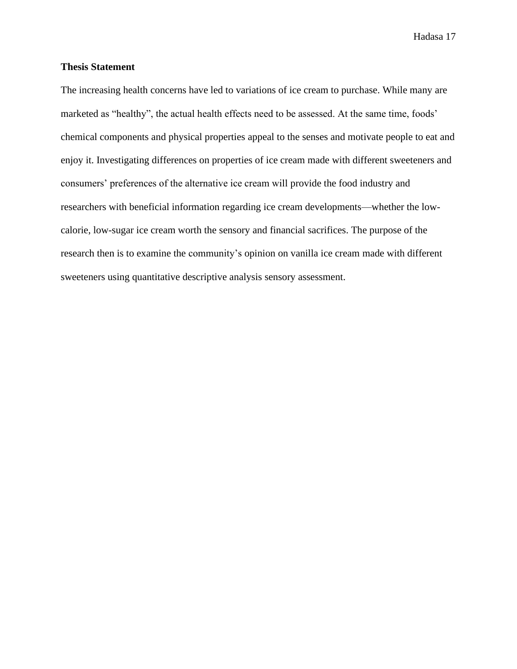#### <span id="page-22-0"></span>**Thesis Statement**

The increasing health concerns have led to variations of ice cream to purchase. While many are marketed as "healthy", the actual health effects need to be assessed. At the same time, foods' chemical components and physical properties appeal to the senses and motivate people to eat and enjoy it. Investigating differences on properties of ice cream made with different sweeteners and consumers' preferences of the alternative ice cream will provide the food industry and researchers with beneficial information regarding ice cream developments—whether the lowcalorie, low-sugar ice cream worth the sensory and financial sacrifices. The purpose of the research then is to examine the community's opinion on vanilla ice cream made with different sweeteners using quantitative descriptive analysis sensory assessment.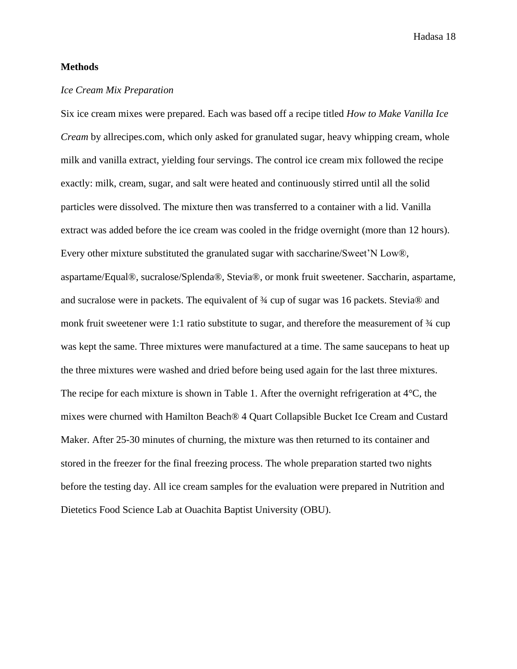#### <span id="page-23-0"></span>**Methods**

#### <span id="page-23-1"></span>*Ice Cream Mix Preparation*

<span id="page-23-2"></span>Six ice cream mixes were prepared. Each was based off a recipe titled *How to Make Vanilla Ice Cream* by allrecipes.com, which only asked for granulated sugar, heavy whipping cream, whole milk and vanilla extract, yielding four servings. The control ice cream mix followed the recipe exactly: milk, cream, sugar, and salt were heated and continuously stirred until all the solid particles were dissolved. The mixture then was transferred to a container with a lid. Vanilla extract was added before the ice cream was cooled in the fridge overnight (more than 12 hours). Every other mixture substituted the granulated sugar with saccharine/Sweet'N Low®, aspartame/Equal®, sucralose/Splenda®, Stevia®, or monk fruit sweetener. Saccharin, aspartame, and sucralose were in packets. The equivalent of ¾ cup of sugar was 16 packets. Stevia® and monk fruit sweetener were 1:1 ratio substitute to sugar, and therefore the measurement of  $\frac{3}{4}$  cup was kept the same. Three mixtures were manufactured at a time. The same saucepans to heat up the three mixtures were washed and dried before being used again for the last three mixtures. The recipe for each mixture is shown in Table 1. After the overnight refrigeration at 4°C, the mixes were churned with Hamilton Beach® 4 Quart Collapsible Bucket Ice Cream and Custard Maker. After 25-30 minutes of churning, the mixture was then returned to its container and stored in the freezer for the final freezing process. The whole preparation started two nights before the testing day. All ice cream samples for the evaluation were prepared in Nutrition and Dietetics Food Science Lab at Ouachita Baptist University (OBU).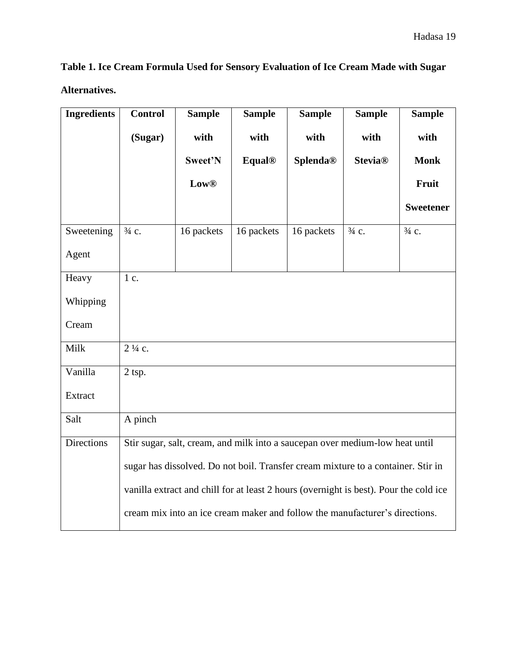**Table 1. Ice Cream Formula Used for Sensory Evaluation of Ice Cream Made with Sugar Alternatives.**

| <b>Ingredients</b> | <b>Control</b>    | <b>Sample</b> | <b>Sample</b> | <b>Sample</b>                                                                         | <b>Sample</b>    | <b>Sample</b>    |  |  |  |  |
|--------------------|-------------------|---------------|---------------|---------------------------------------------------------------------------------------|------------------|------------------|--|--|--|--|
|                    | (Sugar)           | with          | with          | with                                                                                  | with             | with             |  |  |  |  |
|                    |                   | Sweet'N       | <b>Equal®</b> | <b>Splenda®</b>                                                                       | <b>Stevia®</b>   | <b>Monk</b>      |  |  |  |  |
|                    |                   | <b>Low®</b>   |               |                                                                                       |                  | Fruit            |  |  |  |  |
|                    |                   |               |               |                                                                                       |                  | <b>Sweetener</b> |  |  |  |  |
| Sweetening         | $\frac{3}{4}$ c.  | 16 packets    | 16 packets    | 16 packets                                                                            | $\frac{3}{4}$ c. | $\frac{3}{4}$ c. |  |  |  |  |
| Agent              |                   |               |               |                                                                                       |                  |                  |  |  |  |  |
| Heavy              | 1 c.              |               |               |                                                                                       |                  |                  |  |  |  |  |
| Whipping           |                   |               |               |                                                                                       |                  |                  |  |  |  |  |
| Cream              |                   |               |               |                                                                                       |                  |                  |  |  |  |  |
| Milk               | $2\frac{1}{4}$ c. |               |               |                                                                                       |                  |                  |  |  |  |  |
| Vanilla            | 2 tsp.            |               |               |                                                                                       |                  |                  |  |  |  |  |
| Extract            |                   |               |               |                                                                                       |                  |                  |  |  |  |  |
| Salt               | A pinch           |               |               |                                                                                       |                  |                  |  |  |  |  |
| <b>Directions</b>  |                   |               |               | Stir sugar, salt, cream, and milk into a saucepan over medium-low heat until          |                  |                  |  |  |  |  |
|                    |                   |               |               | sugar has dissolved. Do not boil. Transfer cream mixture to a container. Stir in      |                  |                  |  |  |  |  |
|                    |                   |               |               | vanilla extract and chill for at least 2 hours (overnight is best). Pour the cold ice |                  |                  |  |  |  |  |
|                    |                   |               |               | cream mix into an ice cream maker and follow the manufacturer's directions.           |                  |                  |  |  |  |  |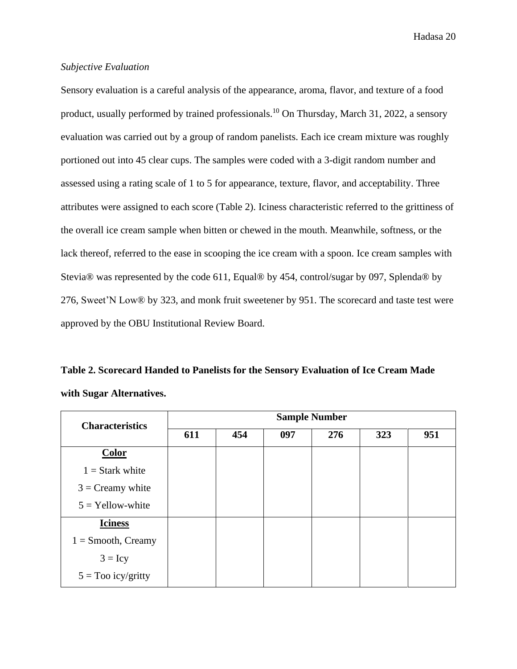#### <span id="page-25-0"></span>*Subjective Evaluation*

Sensory evaluation is a careful analysis of the appearance, aroma, flavor, and texture of a food product, usually performed by trained professionals.<sup>10</sup> On Thursday, March 31, 2022, a sensory evaluation was carried out by a group of random panelists. Each ice cream mixture was roughly portioned out into 45 clear cups. The samples were coded with a 3-digit random number and assessed using a rating scale of 1 to 5 for appearance, texture, flavor, and acceptability. Three attributes were assigned to each score (Table 2). Iciness characteristic referred to the grittiness of the overall ice cream sample when bitten or chewed in the mouth. Meanwhile, softness, or the lack thereof, referred to the ease in scooping the ice cream with a spoon. Ice cream samples with Stevia® was represented by the code 611, Equal® by 454, control/sugar by 097, Splenda® by 276, Sweet'N Low® by 323, and monk fruit sweetener by 951. The scorecard and taste test were approved by the OBU Institutional Review Board.

<span id="page-25-1"></span>**Table 2. Scorecard Handed to Panelists for the Sensory Evaluation of Ice Cream Made with Sugar Alternatives.**

| <b>Characteristics</b> | <b>Sample Number</b> |     |     |     |     |     |  |  |
|------------------------|----------------------|-----|-----|-----|-----|-----|--|--|
|                        | 611                  | 454 | 097 | 276 | 323 | 951 |  |  |
| <b>Color</b>           |                      |     |     |     |     |     |  |  |
| $1 =$ Stark white      |                      |     |     |     |     |     |  |  |
| $3 = C$ reamy white    |                      |     |     |     |     |     |  |  |
| $5 =$ Yellow-white     |                      |     |     |     |     |     |  |  |
| <b>Iciness</b>         |                      |     |     |     |     |     |  |  |
| $1 =$ Smooth, Creamy   |                      |     |     |     |     |     |  |  |
| $3 = Icy$              |                      |     |     |     |     |     |  |  |
| $5 =$ Too icy/gritty   |                      |     |     |     |     |     |  |  |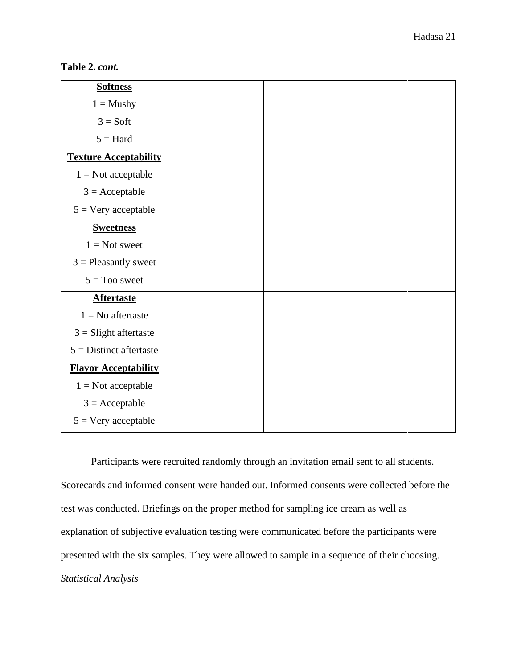**Table 2.** *cont.*

| <b>Softness</b>              |  |  |  |
|------------------------------|--|--|--|
| $1 =$ Mushy                  |  |  |  |
| $3 = Soft$                   |  |  |  |
| $5 = Hard$                   |  |  |  |
| <b>Texture Acceptability</b> |  |  |  |
| $1 = Not acceptable$         |  |  |  |
| $3 = Acceptable$             |  |  |  |
| $5 = \text{Very acceptable}$ |  |  |  |
| <b>Sweetness</b>             |  |  |  |
| $1 = Not$ sweet              |  |  |  |
| $3$ = Pleasantly sweet       |  |  |  |
| $5 = Too$ sweet              |  |  |  |
| <b>Aftertaste</b>            |  |  |  |
| $1 = No$ aftertaste          |  |  |  |
| $3 =$ Slight aftertaste      |  |  |  |
| $5 =$ Distinct aftertaste    |  |  |  |
| <b>Flavor Acceptability</b>  |  |  |  |
| $1 = Not acceptable$         |  |  |  |
| $3 = Acceptable$             |  |  |  |
| $5 = \text{Very acceptable}$ |  |  |  |

<span id="page-26-0"></span>Participants were recruited randomly through an invitation email sent to all students. Scorecards and informed consent were handed out. Informed consents were collected before the test was conducted. Briefings on the proper method for sampling ice cream as well as explanation of subjective evaluation testing were communicated before the participants were presented with the six samples. They were allowed to sample in a sequence of their choosing. *Statistical Analysis*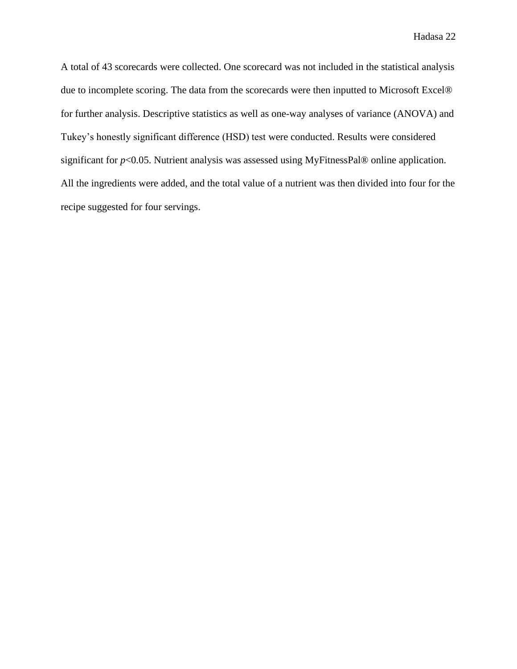A total of 43 scorecards were collected. One scorecard was not included in the statistical analysis due to incomplete scoring. The data from the scorecards were then inputted to Microsoft Excel® for further analysis. Descriptive statistics as well as one-way analyses of variance (ANOVA) and Tukey's honestly significant difference (HSD) test were conducted. Results were considered significant for *p*<0.05. Nutrient analysis was assessed using MyFitnessPal® online application. All the ingredients were added, and the total value of a nutrient was then divided into four for the recipe suggested for four servings.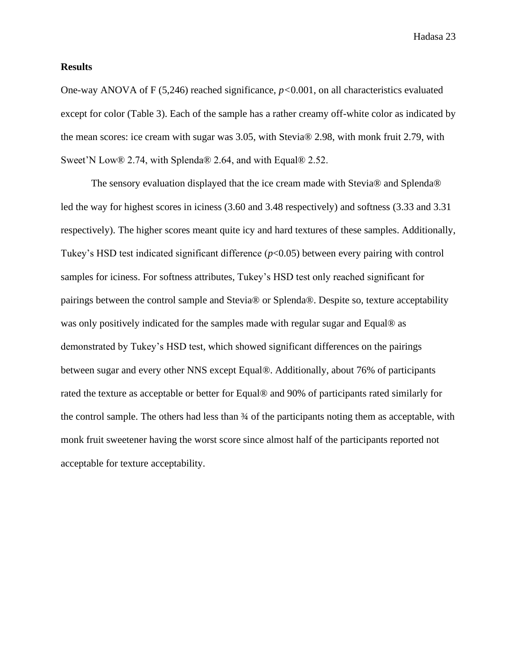#### <span id="page-28-0"></span>**Results**

One-way ANOVA of F (5,246) reached significance, *p<*0.001, on all characteristics evaluated except for color (Table 3). Each of the sample has a rather creamy off-white color as indicated by the mean scores: ice cream with sugar was 3.05, with Stevia® 2.98, with monk fruit 2.79, with Sweet'N Low® 2.74, with Splenda® 2.64, and with Equal® 2.52.

The sensory evaluation displayed that the ice cream made with Stevia® and Splenda® led the way for highest scores in iciness (3.60 and 3.48 respectively) and softness (3.33 and 3.31 respectively). The higher scores meant quite icy and hard textures of these samples. Additionally, Tukey's HSD test indicated significant difference (*p*<0.05) between every pairing with control samples for iciness. For softness attributes, Tukey's HSD test only reached significant for pairings between the control sample and Stevia® or Splenda®. Despite so, texture acceptability was only positively indicated for the samples made with regular sugar and Equal® as demonstrated by Tukey's HSD test, which showed significant differences on the pairings between sugar and every other NNS except Equal®. Additionally, about 76% of participants rated the texture as acceptable or better for Equal® and 90% of participants rated similarly for the control sample. The others had less than ¾ of the participants noting them as acceptable, with monk fruit sweetener having the worst score since almost half of the participants reported not acceptable for texture acceptability.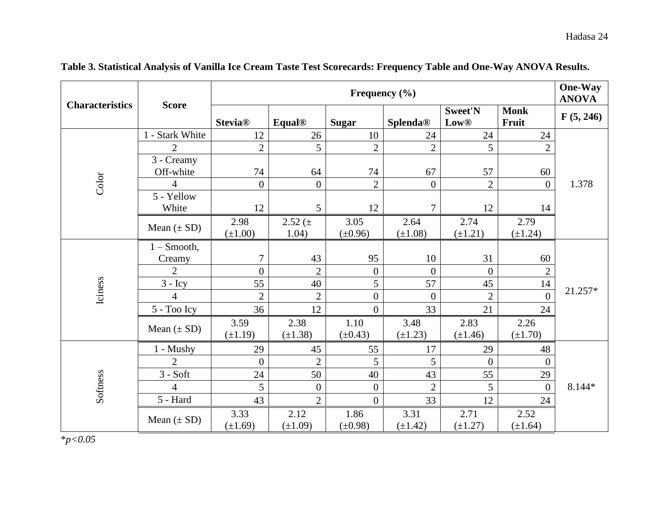<span id="page-29-0"></span>

| <b>Characteristics</b> | <b>Score</b>                | Frequency $(\% )$      |                      |                      |                      |                               |                      |           |
|------------------------|-----------------------------|------------------------|----------------------|----------------------|----------------------|-------------------------------|----------------------|-----------|
|                        |                             | <b>Stevia®</b>         | <b>Equal®</b>        | <b>Sugar</b>         | <b>Splenda®</b>      | <b>Sweet'N</b><br><b>Low®</b> | <b>Monk</b><br>Fruit | F(5, 246) |
|                        | 1 - Stark White             | 12                     | 26                   | 10                   | 24                   | 24                            | 24                   |           |
|                        | $\overline{2}$              | $\overline{2}$         | 5                    | $\overline{2}$       | $\overline{2}$       | 5                             | $\mathbf{2}$         |           |
|                        | 3 - Creamy<br>Off-white     | 74                     | 64                   | 74                   | 67                   | 57                            | 60                   |           |
| Color                  | $\overline{4}$              | $\boldsymbol{0}$       | $\boldsymbol{0}$     | $\overline{2}$       | $\overline{0}$       | $\overline{2}$                | $\overline{0}$       | 1.378     |
|                        | 5 - Yellow<br>White         | 12                     | 5                    | 12                   | $\overline{7}$       | 12                            | 14                   |           |
|                        | Mean $(\pm SD)$             | 2.98<br>$(\pm 1.00)$   | 2.52 (±<br>1.04)     | 3.05<br>$(\pm 0.96)$ | 2.64<br>$(\pm 1.08)$ | 2.74<br>$(\pm 1.21)$          | 2.79<br>$(\pm 1.24)$ |           |
|                        | $1 -$ Smooth,               |                        |                      |                      |                      |                               |                      |           |
|                        | Creamy<br>$\overline{2}$    | 7                      | 43                   | 95                   | 10                   | 31                            | 60                   |           |
|                        |                             | $\boldsymbol{0}$<br>55 | $\overline{2}$       | $\overline{0}$<br>5  | $\overline{0}$<br>57 | $\theta$<br>45                | $\overline{2}$       |           |
| Iciness                | $3 - Icy$<br>$\overline{4}$ | $\overline{2}$         | 40<br>$\overline{2}$ | $\overline{0}$       | $\overline{0}$       | $\overline{2}$                | 14<br>$\overline{0}$ | 21.257*   |
|                        | 5 - Too Icy                 | 36                     | 12                   | $\overline{0}$       | 33                   | 21                            | 24                   |           |
|                        |                             |                        |                      |                      |                      |                               |                      |           |
|                        | Mean $(\pm SD)$             | 3.59<br>$(\pm 1.19)$   | 2.38<br>$(\pm 1.38)$ | 1.10<br>$(\pm 0.43)$ | 3.48<br>$(\pm 1.23)$ | 2.83<br>$(\pm 1.46)$          | 2.26<br>$(\pm 1.70)$ |           |
|                        | $1 -$ Mushy                 | 29                     | 45                   | 55                   | 17                   | 29                            | 48                   |           |
|                        | 2                           | $\overline{0}$         | $\overline{2}$       | 5                    | 5                    | $\theta$                      | $\mathbf{0}$         |           |
|                        | $3 - Soft$                  | 24                     | 50                   | 40                   | 43                   | 55                            | 29                   |           |
| Softness               | 4                           | 5                      | $\boldsymbol{0}$     | $\overline{0}$       | $\overline{2}$       | 5                             | $\mathbf{0}$         | 8.144*    |
|                        | $5 - Hard$                  | 43                     | $\overline{2}$       | $\overline{0}$       | 33                   | 12                            | 24                   |           |
|                        | Mean $(\pm SD)$             | 3.33<br>$(\pm 1.69)$   | 2.12<br>$(\pm 1.09)$ | 1.86<br>$(\pm 0.98)$ | 3.31<br>$(\pm 1.42)$ | 2.71<br>$(\pm 1.27)$          | 2.52<br>$(\pm 1.64)$ |           |

**Table 3. Statistical Analysis of Vanilla Ice Cream Taste Test Scorecards: Frequency Table and One-Way ANOVA Results.** 

\**p<0.05*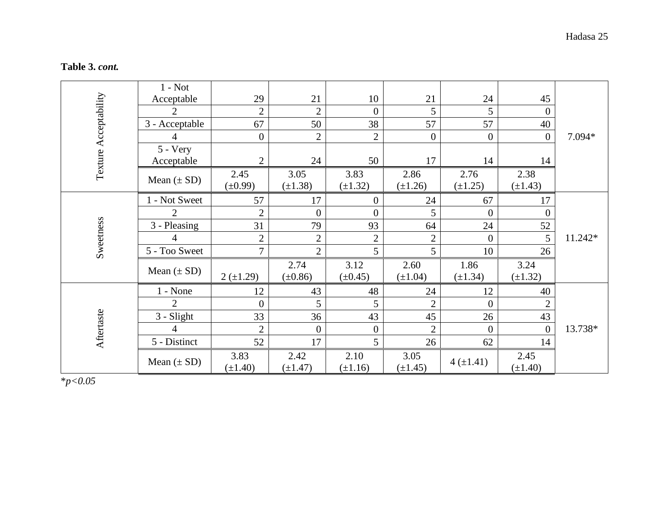| Table 3. cont. |  |
|----------------|--|
|----------------|--|

|                       | $1 - Not$       |                  |                |                  |                 |                |                |         |
|-----------------------|-----------------|------------------|----------------|------------------|-----------------|----------------|----------------|---------|
|                       | Acceptable      | 29               | 21             | 10               | 21              | 24             | 45             |         |
| Texture Acceptability | 2               | $\overline{2}$   | $\overline{2}$ | $\boldsymbol{0}$ | $5\overline{)}$ | 5              | $\overline{0}$ |         |
|                       | 3 - Acceptable  | 67               | 50             | 38               | 57              | 57             | 40             |         |
|                       | 4               | $\boldsymbol{0}$ | $\overline{2}$ | $\overline{2}$   | $\overline{0}$  | $\mathbf{0}$   | $\overline{0}$ | 7.094*  |
|                       | $5 - Very$      |                  |                |                  |                 |                |                |         |
|                       | Acceptable      | $\overline{2}$   | 24             | 50               | 17              | 14             | 14             |         |
|                       |                 | 2.45             | 3.05           | 3.83             | 2.86            | 2.76           | 2.38           |         |
|                       | Mean $(\pm SD)$ | $(\pm 0.99)$     | $(\pm 1.38)$   | $(\pm 1.32)$     | $(\pm 1.26)$    | $(\pm 1.25)$   | $(\pm 1.43)$   |         |
|                       | 1 - Not Sweet   | 57               | 17             | $\boldsymbol{0}$ | 24              | 67             | 17             |         |
|                       | $\overline{2}$  | $\overline{2}$   | $\overline{0}$ | $\overline{0}$   | 5               | $\mathbf{0}$   | $\overline{0}$ |         |
|                       | 3 - Pleasing    | 31               | 79             | 93               | 64              | 24             | 52             |         |
|                       | 4               | $\overline{2}$   | $\overline{2}$ | $\overline{2}$   | $\overline{2}$  | $\overline{0}$ | 5              | 11.242* |
| Sweetness             | 5 - Too Sweet   | 7                | $\overline{2}$ | 5                | 5               | 10             | 26             |         |
|                       | Mean $(\pm SD)$ |                  | 2.74           | 3.12             | 2.60            | 1.86           | 3.24           |         |
|                       |                 | $2(\pm 1.29)$    | $(\pm 0.86)$   | $(\pm 0.45)$     | $(\pm 1.04)$    | $(\pm 1.34)$   | $(\pm 1.32)$   |         |
|                       | $1 - None$      | 12               | 43             | 48               | 24              | 12             | 40             |         |
|                       | $\overline{2}$  | $\overline{0}$   | 5              | 5                | $\overline{2}$  | $\Omega$       | $\overline{2}$ |         |
| Aftertaste            | $3 - S$ light   | 33               | 36             | 43               | 45              | 26             | 43             |         |
|                       | 4               | $\overline{2}$   | $\theta$       | $\boldsymbol{0}$ | $\overline{2}$  | $\overline{0}$ | $\theta$       | 13.738* |
|                       | 5 - Distinct    | 52               | 17             | 5                | 26              | 62             | 14             |         |
|                       |                 | 3.83             | 2.42           | 2.10             | 3.05            |                | 2.45           |         |
|                       | Mean $(\pm SD)$ | $(\pm 1.40)$     | $(\pm 1.47)$   | $(\pm 1.16)$     | $(\pm 1.45)$    | $4(\pm 1.41)$  | $(\pm 1.40)$   |         |

\**p<0.05*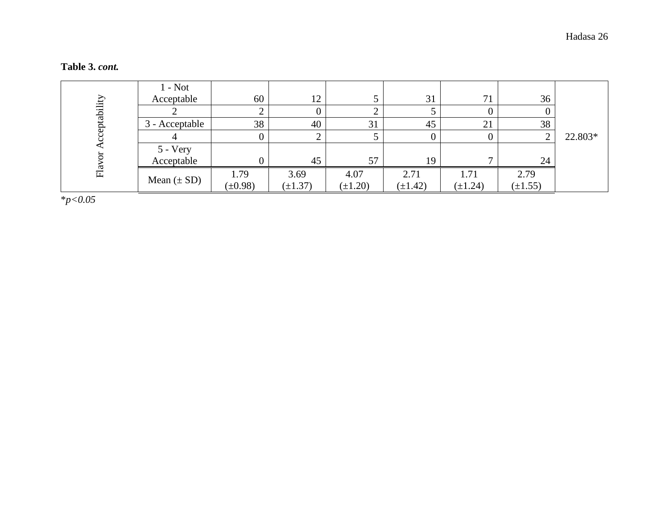|            | $1 - Not$       |              |              |              |              |              |              |         |
|------------|-----------------|--------------|--------------|--------------|--------------|--------------|--------------|---------|
|            | Acceptable      | 60           | 12           |              | 31           | 71           | 36           |         |
| eptability |                 |              |              |              |              |              |              |         |
|            | 3 - Acceptable  | 38           | 40           | 31           | 45           | 21           | 38           |         |
|            |                 |              |              |              |              |              |              | 22.803* |
|            | 5 - Very        |              |              |              |              |              |              |         |
|            | Acceptable      |              | 45           | 57           | 19           |              | 24           |         |
| $E_a$      |                 | 1.79         | 3.69         | 4.07         | 2.71         | 1.71         | 2.79         |         |
|            | Mean $(\pm SD)$ | $(\pm 0.98)$ | $(\pm 1.37)$ | $(\pm 1.20)$ | $(\pm 1.42)$ | $(\pm 1.24)$ | $(\pm 1.55)$ |         |

#### **Table 3.** *cont.*

\**p<0.05*

Hadasa 26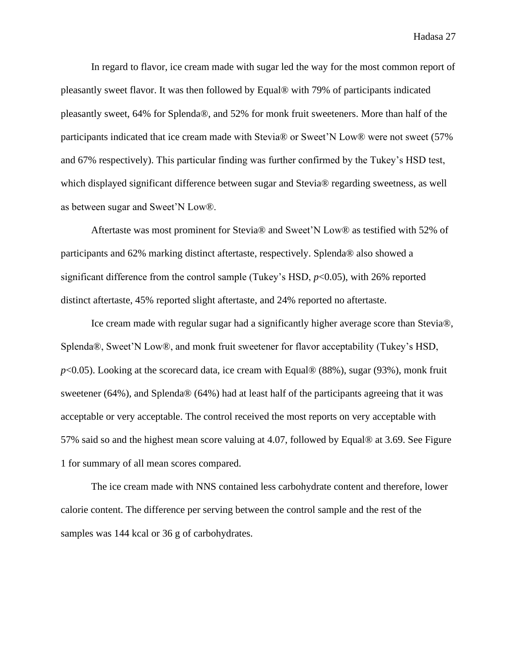In regard to flavor, ice cream made with sugar led the way for the most common report of pleasantly sweet flavor. It was then followed by Equal® with 79% of participants indicated pleasantly sweet, 64% for Splenda®, and 52% for monk fruit sweeteners. More than half of the participants indicated that ice cream made with Stevia® or Sweet'N Low® were not sweet (57% and 67% respectively). This particular finding was further confirmed by the Tukey's HSD test, which displayed significant difference between sugar and Stevia® regarding sweetness, as well as between sugar and Sweet'N Low®.

Aftertaste was most prominent for Stevia® and Sweet'N Low® as testified with 52% of participants and 62% marking distinct aftertaste, respectively. Splenda® also showed a significant difference from the control sample (Tukey's HSD, *p*<0.05), with 26% reported distinct aftertaste, 45% reported slight aftertaste, and 24% reported no aftertaste.

Ice cream made with regular sugar had a significantly higher average score than Stevia®, Splenda®, Sweet'N Low®, and monk fruit sweetener for flavor acceptability (Tukey's HSD, *p*<0.05). Looking at the scorecard data, ice cream with Equal® (88%), sugar (93%), monk fruit sweetener (64%), and Splenda® (64%) had at least half of the participants agreeing that it was acceptable or very acceptable. The control received the most reports on very acceptable with 57% said so and the highest mean score valuing at 4.07, followed by Equal® at 3.69. See Figure 1 for summary of all mean scores compared.

The ice cream made with NNS contained less carbohydrate content and therefore, lower calorie content. The difference per serving between the control sample and the rest of the samples was 144 kcal or 36 g of carbohydrates.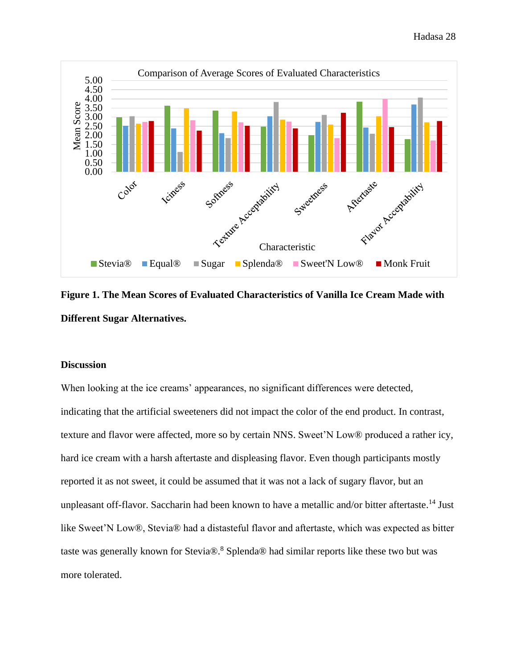

<span id="page-33-1"></span>**Figure 1. The Mean Scores of Evaluated Characteristics of Vanilla Ice Cream Made with Different Sugar Alternatives.**

#### <span id="page-33-0"></span>**Discussion**

When looking at the ice creams' appearances, no significant differences were detected, indicating that the artificial sweeteners did not impact the color of the end product. In contrast, texture and flavor were affected, more so by certain NNS. Sweet'N Low® produced a rather icy, hard ice cream with a harsh aftertaste and displeasing flavor. Even though participants mostly reported it as not sweet, it could be assumed that it was not a lack of sugary flavor, but an unpleasant off-flavor. Saccharin had been known to have a metallic and/or bitter aftertaste.<sup>14</sup> Just like Sweet'N Low®, Stevia® had a distasteful flavor and aftertaste, which was expected as bitter taste was generally known for Stevia $\mathbb{R}^8$  Splenda $\mathbb{R}^8$  had similar reports like these two but was more tolerated.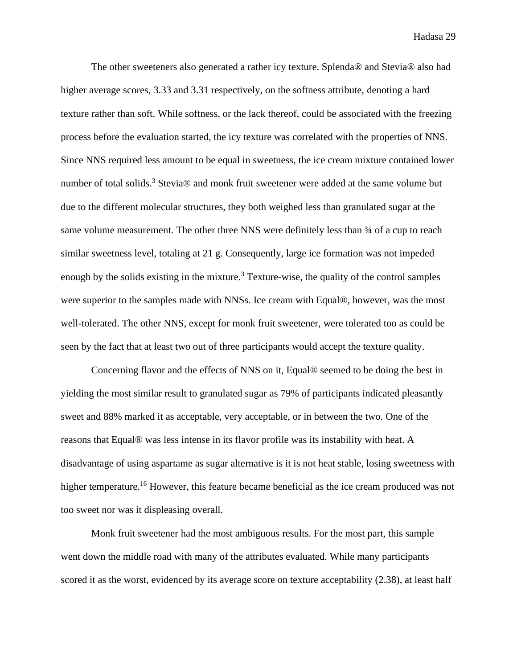The other sweeteners also generated a rather icy texture. Splenda® and Stevia® also had higher average scores, 3.33 and 3.31 respectively, on the softness attribute, denoting a hard texture rather than soft. While softness, or the lack thereof, could be associated with the freezing process before the evaluation started, the icy texture was correlated with the properties of NNS. Since NNS required less amount to be equal in sweetness, the ice cream mixture contained lower number of total solids.<sup>3</sup> Stevia® and monk fruit sweetener were added at the same volume but due to the different molecular structures, they both weighed less than granulated sugar at the same volume measurement. The other three NNS were definitely less than  $\frac{3}{4}$  of a cup to reach similar sweetness level, totaling at 21 g. Consequently, large ice formation was not impeded enough by the solids existing in the mixture.<sup>3</sup> Texture-wise, the quality of the control samples were superior to the samples made with NNSs. Ice cream with Equal®, however, was the most well-tolerated. The other NNS, except for monk fruit sweetener, were tolerated too as could be seen by the fact that at least two out of three participants would accept the texture quality.

Concerning flavor and the effects of NNS on it, Equal® seemed to be doing the best in yielding the most similar result to granulated sugar as 79% of participants indicated pleasantly sweet and 88% marked it as acceptable, very acceptable, or in between the two. One of the reasons that Equal® was less intense in its flavor profile was its instability with heat. A disadvantage of using aspartame as sugar alternative is it is not heat stable, losing sweetness with higher temperature.<sup>16</sup> However, this feature became beneficial as the ice cream produced was not too sweet nor was it displeasing overall.

Monk fruit sweetener had the most ambiguous results. For the most part, this sample went down the middle road with many of the attributes evaluated. While many participants scored it as the worst, evidenced by its average score on texture acceptability (2.38), at least half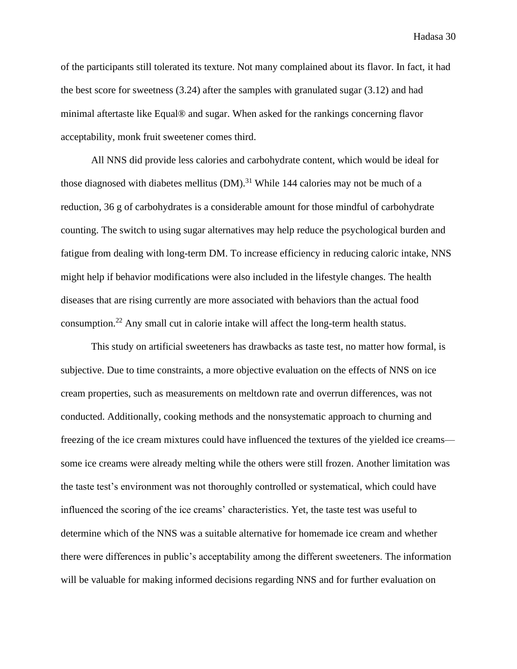of the participants still tolerated its texture. Not many complained about its flavor. In fact, it had the best score for sweetness (3.24) after the samples with granulated sugar (3.12) and had minimal aftertaste like Equal® and sugar. When asked for the rankings concerning flavor acceptability, monk fruit sweetener comes third.

All NNS did provide less calories and carbohydrate content, which would be ideal for those diagnosed with diabetes mellitus  $(DM)$ .<sup>31</sup> While 144 calories may not be much of a reduction, 36 g of carbohydrates is a considerable amount for those mindful of carbohydrate counting. The switch to using sugar alternatives may help reduce the psychological burden and fatigue from dealing with long-term DM. To increase efficiency in reducing caloric intake, NNS might help if behavior modifications were also included in the lifestyle changes. The health diseases that are rising currently are more associated with behaviors than the actual food consumption. <sup>22</sup> Any small cut in calorie intake will affect the long-term health status.

This study on artificial sweeteners has drawbacks as taste test, no matter how formal, is subjective. Due to time constraints, a more objective evaluation on the effects of NNS on ice cream properties, such as measurements on meltdown rate and overrun differences, was not conducted. Additionally, cooking methods and the nonsystematic approach to churning and freezing of the ice cream mixtures could have influenced the textures of the yielded ice creams some ice creams were already melting while the others were still frozen. Another limitation was the taste test's environment was not thoroughly controlled or systematical, which could have influenced the scoring of the ice creams' characteristics. Yet, the taste test was useful to determine which of the NNS was a suitable alternative for homemade ice cream and whether there were differences in public's acceptability among the different sweeteners. The information will be valuable for making informed decisions regarding NNS and for further evaluation on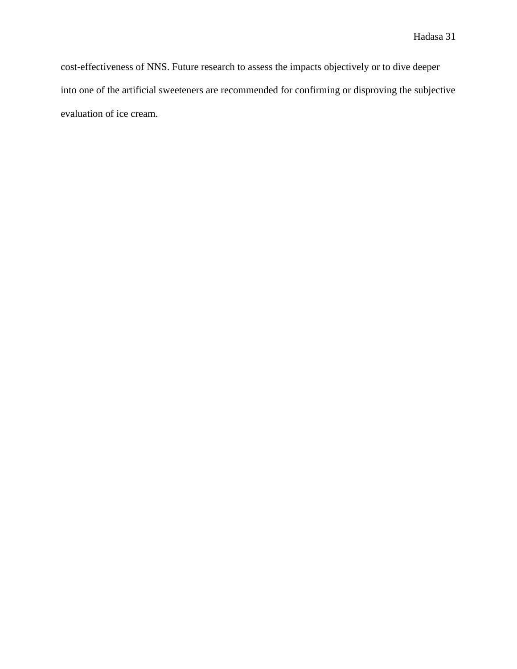cost-effectiveness of NNS. Future research to assess the impacts objectively or to dive deeper into one of the artificial sweeteners are recommended for confirming or disproving the subjective evaluation of ice cream.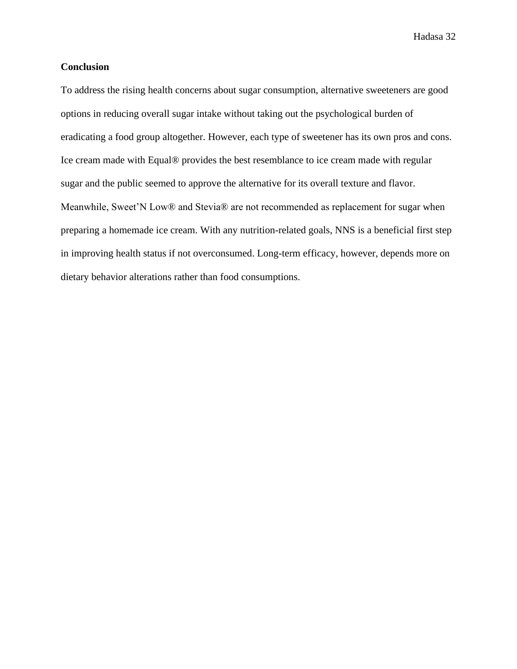#### <span id="page-37-0"></span>**Conclusion**

To address the rising health concerns about sugar consumption, alternative sweeteners are good options in reducing overall sugar intake without taking out the psychological burden of eradicating a food group altogether. However, each type of sweetener has its own pros and cons. Ice cream made with Equal® provides the best resemblance to ice cream made with regular sugar and the public seemed to approve the alternative for its overall texture and flavor. Meanwhile, Sweet'N Low® and Stevia® are not recommended as replacement for sugar when preparing a homemade ice cream. With any nutrition-related goals, NNS is a beneficial first step in improving health status if not overconsumed. Long-term efficacy, however, depends more on dietary behavior alterations rather than food consumptions.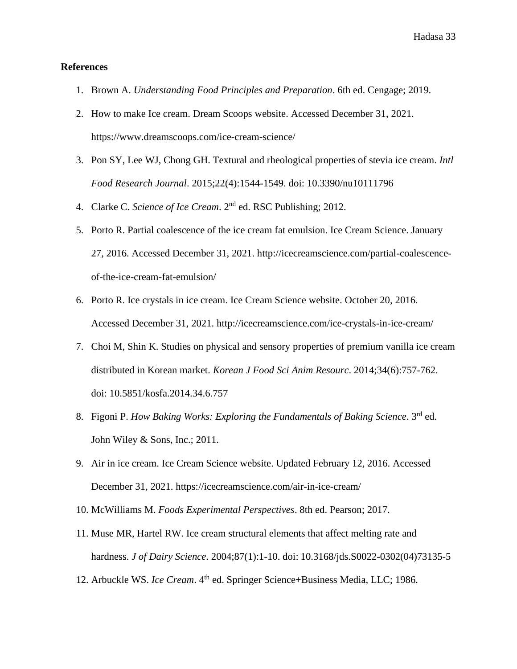#### <span id="page-38-0"></span>**References**

- 1. Brown A. *Understanding Food Principles and Preparation*. 6th ed. Cengage; 2019.
- 2. How to make Ice cream. Dream Scoops website. Accessed December 31, 2021. https://www.dreamscoops.com/ice-cream-science/
- 3. Pon SY, Lee WJ, Chong GH. Textural and rheological properties of stevia ice cream. *Intl Food Research Journal*. 2015;22(4):1544-1549. doi: 10.3390/nu10111796
- 4. Clarke C. *Science of Ice Cream*. 2<sup>nd</sup> ed. RSC Publishing; 2012.
- 5. Porto R. Partial coalescence of the ice cream fat emulsion. Ice Cream Science. January 27, 2016. Accessed December 31, 2021. http://icecreamscience.com/partial-coalescenceof-the-ice-cream-fat-emulsion/
- 6. Porto R. Ice crystals in ice cream. Ice Cream Science website. October 20, 2016. Accessed December 31, 2021. http://icecreamscience.com/ice-crystals-in-ice-cream/
- 7. Choi M, Shin K. Studies on physical and sensory properties of premium vanilla ice cream distributed in Korean market. *Korean J Food Sci Anim Resourc*. 2014;34(6):757-762. doi: 10.5851/kosfa.2014.34.6.757
- 8. Figoni P. *How Baking Works: Exploring the Fundamentals of Baking Science*. 3rd ed. John Wiley & Sons, Inc.; 2011.
- 9. Air in ice cream. Ice Cream Science website. Updated February 12, 2016. Accessed December 31, 2021. https://icecreamscience.com/air-in-ice-cream/
- 10. McWilliams M. *Foods Experimental Perspectives*. 8th ed. Pearson; 2017.
- 11. Muse MR, Hartel RW. Ice cream structural elements that affect melting rate and hardness. *J of Dairy Science*. 2004;87(1):1-10. doi: 10.3168/jds.S0022-0302(04)73135-5
- 12. Arbuckle WS. *Ice Cream*. 4<sup>th</sup> ed. Springer Science+Business Media, LLC; 1986.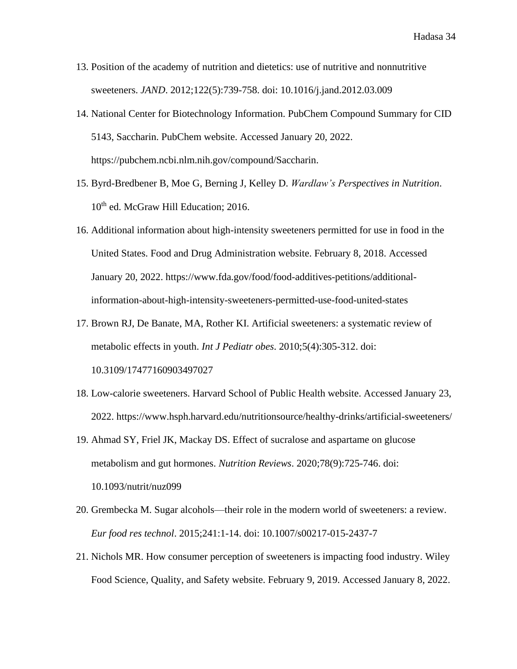- 13. Position of the academy of nutrition and dietetics: use of nutritive and nonnutritive sweeteners. *JAND*. 2012;122(5):739-758. doi: 10.1016/j.jand.2012.03.009
- 14. National Center for Biotechnology Information. PubChem Compound Summary for CID 5143, Saccharin. PubChem website. Accessed January 20, 2022. https://pubchem.ncbi.nlm.nih.gov/compound/Saccharin.
- 15. Byrd-Bredbener B, Moe G, Berning J, Kelley D. *Wardlaw's Perspectives in Nutrition*. 10<sup>th</sup> ed. McGraw Hill Education; 2016.
- 16. Additional information about high-intensity sweeteners permitted for use in food in the United States. Food and Drug Administration website. February 8, 2018. Accessed January 20, 2022. https://www.fda.gov/food/food-additives-petitions/additionalinformation-about-high-intensity-sweeteners-permitted-use-food-united-states
- 17. Brown RJ, De Banate, MA, Rother KI. Artificial sweeteners: a systematic review of metabolic effects in youth. *Int J Pediatr obes*. 2010;5(4):305-312. doi: 10.3109/17477160903497027
- 18. Low-calorie sweeteners. Harvard School of Public Health website. Accessed January 23, 2022. https://www.hsph.harvard.edu/nutritionsource/healthy-drinks/artificial-sweeteners/
- 19. Ahmad SY, Friel JK, Mackay DS. Effect of sucralose and aspartame on glucose metabolism and gut hormones. *Nutrition Reviews*. 2020;78(9):725-746. doi: 10.1093/nutrit/nuz099
- 20. Grembecka M. Sugar alcohols—their role in the modern world of sweeteners: a review. *Eur food res technol*. 2015;241:1-14. doi: 10.1007/s00217-015-2437-7
- 21. Nichols MR. How consumer perception of sweeteners is impacting food industry. Wiley Food Science, Quality, and Safety website. February 9, 2019. Accessed January 8, 2022.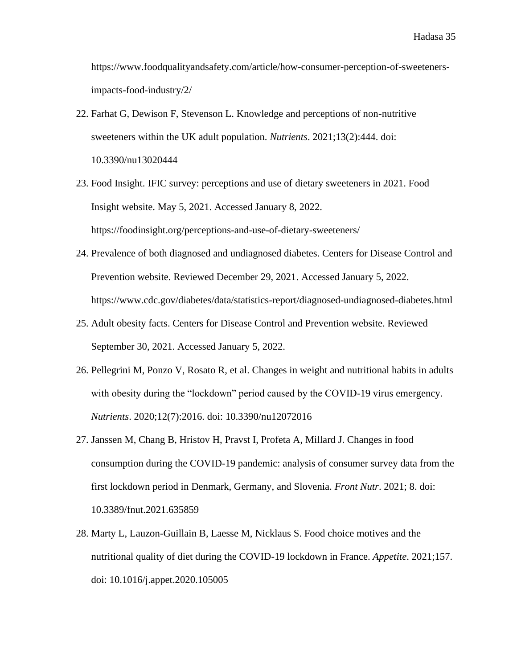https://www.foodqualityandsafety.com/article/how-consumer-perception-of-sweetenersimpacts-food-industry/2/

- 22. Farhat G, Dewison F, Stevenson L. Knowledge and perceptions of non-nutritive sweeteners within the UK adult population. *Nutrients*. 2021;13(2):444. doi: 10.3390/nu13020444
- 23. Food Insight. IFIC survey: perceptions and use of dietary sweeteners in 2021. Food Insight website. May 5, 2021. Accessed January 8, 2022. https://foodinsight.org/perceptions-and-use-of-dietary-sweeteners/
- 24. Prevalence of both diagnosed and undiagnosed diabetes. Centers for Disease Control and Prevention website. Reviewed December 29, 2021. Accessed January 5, 2022. https://www.cdc.gov/diabetes/data/statistics-report/diagnosed-undiagnosed-diabetes.html
- 25. Adult obesity facts. Centers for Disease Control and Prevention website. Reviewed September 30, 2021. Accessed January 5, 2022.
- 26. Pellegrini M, Ponzo V, Rosato R, et al. Changes in weight and nutritional habits in adults with obesity during the "lockdown" period caused by the COVID-19 virus emergency. *Nutrients*. 2020;12(7):2016. doi: 10.3390/nu12072016
- 27. Janssen M, Chang B, Hristov H, Pravst I, Profeta A, Millard J. Changes in food consumption during the COVID-19 pandemic: analysis of consumer survey data from the first lockdown period in Denmark, Germany, and Slovenia. *Front Nutr*. 2021; 8. doi: 10.3389/fnut.2021.635859
- 28. Marty L, Lauzon-Guillain B, Laesse M, Nicklaus S. Food choice motives and the nutritional quality of diet during the COVID-19 lockdown in France. *Appetite*. 2021;157. doi: 10.1016/j.appet.2020.105005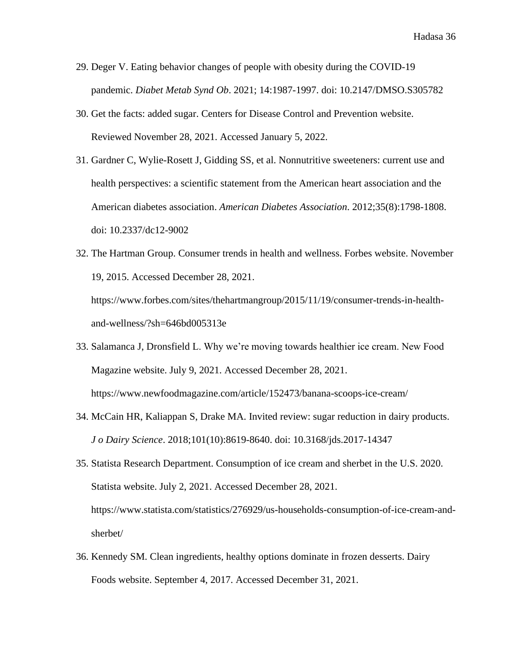- 29. Deger V. Eating behavior changes of people with obesity during the COVID-19 pandemic. *Diabet Metab Synd Ob*. 2021; 14:1987-1997. doi: 10.2147/DMSO.S305782
- 30. Get the facts: added sugar. Centers for Disease Control and Prevention website. Reviewed November 28, 2021. Accessed January 5, 2022.
- 31. Gardner C, Wylie-Rosett J, Gidding SS, et al. Nonnutritive sweeteners: current use and health perspectives: a scientific statement from the American heart association and the American diabetes association. *American Diabetes Association*. 2012;35(8):1798-1808. doi: 10.2337/dc12-9002
- 32. The Hartman Group. Consumer trends in health and wellness. Forbes website. November 19, 2015. Accessed December 28, 2021. https://www.forbes.com/sites/thehartmangroup/2015/11/19/consumer-trends-in-healthand-wellness/?sh=646bd005313e
- 33. Salamanca J, Dronsfield L. Why we're moving towards healthier ice cream. New Food Magazine website. July 9, 2021. Accessed December 28, 2021. https://www.newfoodmagazine.com/article/152473/banana-scoops-ice-cream/
- 34. McCain HR, Kaliappan S, Drake MA. Invited review: sugar reduction in dairy products. *J o Dairy Science*. 2018;101(10):8619-8640. doi: 10.3168/jds.2017-14347
- 35. Statista Research Department. Consumption of ice cream and sherbet in the U.S. 2020. Statista website. July 2, 2021. Accessed December 28, 2021. https://www.statista.com/statistics/276929/us-households-consumption-of-ice-cream-andsherbet/
- 36. Kennedy SM. Clean ingredients, healthy options dominate in frozen desserts. Dairy Foods website. September 4, 2017. Accessed December 31, 2021.